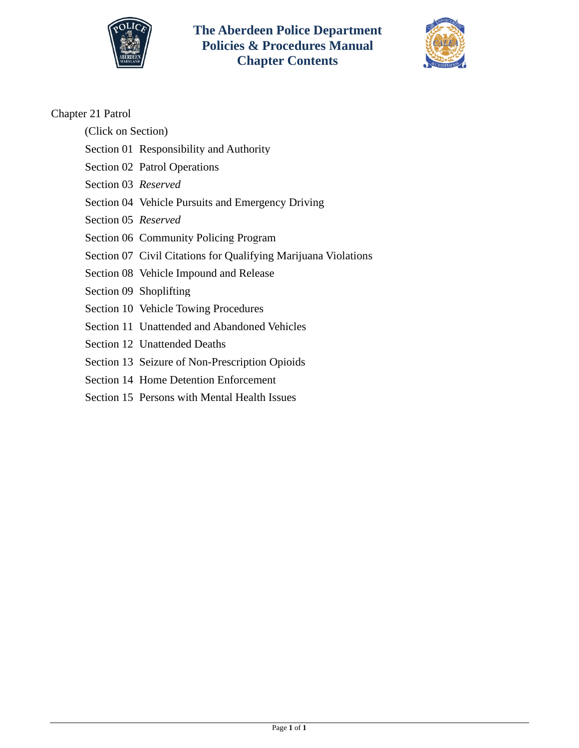



### Chapter 21 Patrol

- (Click on Section)
- [Section 01 Responsibility and Authority](#page-1-0)
- [Section 02 Patrol Operations](#page--1-0)
- Section 03 *Reserved*
- [Section 04 Vehicle Pursuits and Emergency Driving](#page-13-0)
- Section 05 *Reserved*
- [Section 06 Community Policing Program](#page-20-0)
- [Section 07 Civil Citations for Qualifying Marijuana Violations](#page-22-0)
- [Section 08 Vehicle Impound and Release](#page-26-0)
- [Section 09 Shoplifting](#page-28-0)
- [Section 10 Vehicle Towing Procedures](#page-29-0)
- [Section 11 Unattended and Abandoned Vehicles](#page-34-0)
- [Section 12 Unattended Deaths](#page-39-0)
- [Section 13 Seizure of Non-Prescription Opioids](#page-41-0)
- [Section 14 Home Detention Enforcement](#page-42-0)
- [Section 15 Persons with Mental Health Issues](#page-44-0)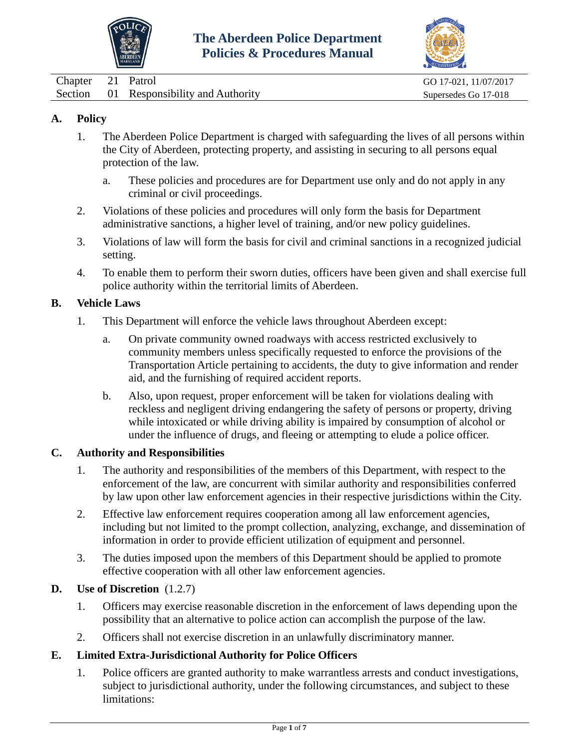



<span id="page-1-0"></span>

| $\Box$ hapter | 21 Patrol                               | GO 17-021, 11/07/2017 |
|---------------|-----------------------------------------|-----------------------|
|               | Section 01 Responsibility and Authority | Supersedes Go 17-018  |

- 1. The Aberdeen Police Department is charged with safeguarding the lives of all persons within the City of Aberdeen, protecting property, and assisting in securing to all persons equal protection of the law.
	- a. These policies and procedures are for Department use only and do not apply in any criminal or civil proceedings.
- 2. Violations of these policies and procedures will only form the basis for Department administrative sanctions, a higher level of training, and/or new policy guidelines.
- 3. Violations of law will form the basis for civil and criminal sanctions in a recognized judicial setting.
- 4. To enable them to perform their sworn duties, officers have been given and shall exercise full police authority within the territorial limits of Aberdeen.

### **B. Vehicle Laws**

- 1. This Department will enforce the vehicle laws throughout Aberdeen except:
	- a. On private community owned roadways with access restricted exclusively to community members unless specifically requested to enforce the provisions of the Transportation Article pertaining to accidents, the duty to give information and render aid, and the furnishing of required accident reports.
	- b. Also, upon request, proper enforcement will be taken for violations dealing with reckless and negligent driving endangering the safety of persons or property, driving while intoxicated or while driving ability is impaired by consumption of alcohol or under the influence of drugs, and fleeing or attempting to elude a police officer.

#### **C. Authority and Responsibilities**

- 1. The authority and responsibilities of the members of this Department, with respect to the enforcement of the law, are concurrent with similar authority and responsibilities conferred by law upon other law enforcement agencies in their respective jurisdictions within the City.
- 2. Effective law enforcement requires cooperation among all law enforcement agencies, including but not limited to the prompt collection, analyzing, exchange, and dissemination of information in order to provide efficient utilization of equipment and personnel.
- 3. The duties imposed upon the members of this Department should be applied to promote effective cooperation with all other law enforcement agencies.

### **D. Use of Discretion** (1.2.7)

- 1. Officers may exercise reasonable discretion in the enforcement of laws depending upon the possibility that an alternative to police action can accomplish the purpose of the law.
- 2. Officers shall not exercise discretion in an unlawfully discriminatory manner.

### **E. Limited Extra-Jurisdictional Authority for Police Officers**

1. Police officers are granted authority to make warrantless arrests and conduct investigations, subject to jurisdictional authority, under the following circumstances, and subject to these limitations: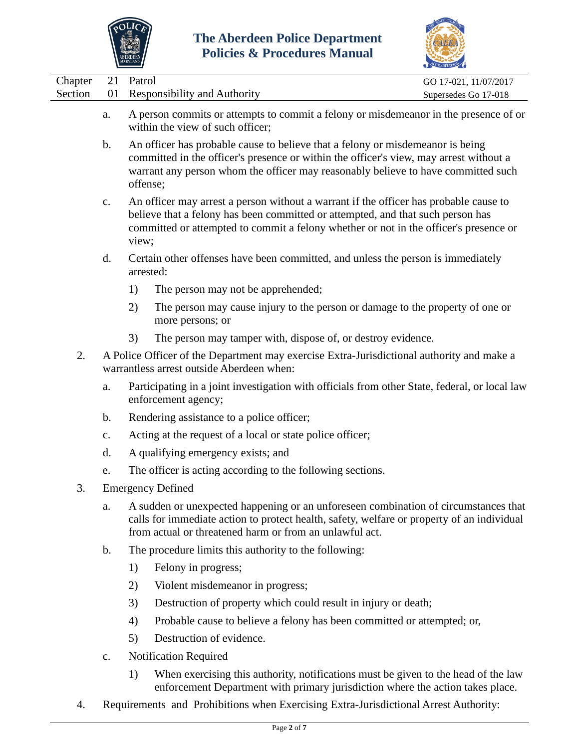



|                                                                                                                                                                                                                                                                                              |                                                                                                                                                                                                                                                                                            |                                                                                                                                        |                                                                                                                                                                                                                                              | CELEDITATION C        |  |  |
|----------------------------------------------------------------------------------------------------------------------------------------------------------------------------------------------------------------------------------------------------------------------------------------------|--------------------------------------------------------------------------------------------------------------------------------------------------------------------------------------------------------------------------------------------------------------------------------------------|----------------------------------------------------------------------------------------------------------------------------------------|----------------------------------------------------------------------------------------------------------------------------------------------------------------------------------------------------------------------------------------------|-----------------------|--|--|
| Chapter                                                                                                                                                                                                                                                                                      | 21                                                                                                                                                                                                                                                                                         | Patrol                                                                                                                                 |                                                                                                                                                                                                                                              | GO 17-021, 11/07/2017 |  |  |
| Section                                                                                                                                                                                                                                                                                      | 01                                                                                                                                                                                                                                                                                         |                                                                                                                                        | <b>Responsibility and Authority</b>                                                                                                                                                                                                          | Supersedes Go 17-018  |  |  |
|                                                                                                                                                                                                                                                                                              | a.                                                                                                                                                                                                                                                                                         |                                                                                                                                        | A person commits or attempts to commit a felony or misdemeanor in the presence of or<br>within the view of such officer;                                                                                                                     |                       |  |  |
|                                                                                                                                                                                                                                                                                              | An officer has probable cause to believe that a felony or misdemeanor is being<br>$\mathbf b$ .<br>committed in the officer's presence or within the officer's view, may arrest without a<br>warrant any person whom the officer may reasonably believe to have committed such<br>offense; |                                                                                                                                        |                                                                                                                                                                                                                                              |                       |  |  |
| An officer may arrest a person without a warrant if the officer has probable cause to<br>$\mathbf{c}$ .<br>believe that a felony has been committed or attempted, and that such person has<br>committed or attempted to commit a felony whether or not in the officer's presence or<br>view; |                                                                                                                                                                                                                                                                                            |                                                                                                                                        |                                                                                                                                                                                                                                              |                       |  |  |
|                                                                                                                                                                                                                                                                                              | d.                                                                                                                                                                                                                                                                                         |                                                                                                                                        | Certain other offenses have been committed, and unless the person is immediately<br>arrested:                                                                                                                                                |                       |  |  |
|                                                                                                                                                                                                                                                                                              |                                                                                                                                                                                                                                                                                            | 1)                                                                                                                                     | The person may not be apprehended;                                                                                                                                                                                                           |                       |  |  |
|                                                                                                                                                                                                                                                                                              |                                                                                                                                                                                                                                                                                            | 2)                                                                                                                                     | The person may cause injury to the person or damage to the property of one or<br>more persons; or                                                                                                                                            |                       |  |  |
|                                                                                                                                                                                                                                                                                              |                                                                                                                                                                                                                                                                                            | 3)                                                                                                                                     | The person may tamper with, dispose of, or destroy evidence.                                                                                                                                                                                 |                       |  |  |
| 2.                                                                                                                                                                                                                                                                                           |                                                                                                                                                                                                                                                                                            | A Police Officer of the Department may exercise Extra-Jurisdictional authority and make a<br>warrantless arrest outside Aberdeen when: |                                                                                                                                                                                                                                              |                       |  |  |
|                                                                                                                                                                                                                                                                                              | a.                                                                                                                                                                                                                                                                                         | Participating in a joint investigation with officials from other State, federal, or local law<br>enforcement agency;                   |                                                                                                                                                                                                                                              |                       |  |  |
|                                                                                                                                                                                                                                                                                              | $\mathbf b$ .                                                                                                                                                                                                                                                                              |                                                                                                                                        | Rendering assistance to a police officer;                                                                                                                                                                                                    |                       |  |  |
|                                                                                                                                                                                                                                                                                              | $\mathbf{c}$ .                                                                                                                                                                                                                                                                             | Acting at the request of a local or state police officer;                                                                              |                                                                                                                                                                                                                                              |                       |  |  |
|                                                                                                                                                                                                                                                                                              | d.                                                                                                                                                                                                                                                                                         |                                                                                                                                        | A qualifying emergency exists; and                                                                                                                                                                                                           |                       |  |  |
|                                                                                                                                                                                                                                                                                              | e.                                                                                                                                                                                                                                                                                         |                                                                                                                                        | The officer is acting according to the following sections.                                                                                                                                                                                   |                       |  |  |
| 3.                                                                                                                                                                                                                                                                                           |                                                                                                                                                                                                                                                                                            |                                                                                                                                        | <b>Emergency Defined</b>                                                                                                                                                                                                                     |                       |  |  |
|                                                                                                                                                                                                                                                                                              | a.                                                                                                                                                                                                                                                                                         |                                                                                                                                        | A sudden or unexpected happening or an unforeseen combination of circumstances that<br>calls for immediate action to protect health, safety, welfare or property of an individual<br>from actual or threatened harm or from an unlawful act. |                       |  |  |
|                                                                                                                                                                                                                                                                                              | b.                                                                                                                                                                                                                                                                                         |                                                                                                                                        | The procedure limits this authority to the following:                                                                                                                                                                                        |                       |  |  |
|                                                                                                                                                                                                                                                                                              |                                                                                                                                                                                                                                                                                            | 1)                                                                                                                                     | Felony in progress;                                                                                                                                                                                                                          |                       |  |  |
|                                                                                                                                                                                                                                                                                              |                                                                                                                                                                                                                                                                                            | 2)                                                                                                                                     | Violent misdemeanor in progress;                                                                                                                                                                                                             |                       |  |  |
|                                                                                                                                                                                                                                                                                              |                                                                                                                                                                                                                                                                                            | 3)                                                                                                                                     | Destruction of property which could result in injury or death;                                                                                                                                                                               |                       |  |  |
|                                                                                                                                                                                                                                                                                              |                                                                                                                                                                                                                                                                                            | 4)                                                                                                                                     | Probable cause to believe a felony has been committed or attempted; or,                                                                                                                                                                      |                       |  |  |
|                                                                                                                                                                                                                                                                                              |                                                                                                                                                                                                                                                                                            | 5)                                                                                                                                     | Destruction of evidence.                                                                                                                                                                                                                     |                       |  |  |
|                                                                                                                                                                                                                                                                                              | $\mathbf{c}$ .                                                                                                                                                                                                                                                                             |                                                                                                                                        | <b>Notification Required</b>                                                                                                                                                                                                                 |                       |  |  |
|                                                                                                                                                                                                                                                                                              |                                                                                                                                                                                                                                                                                            | 1)                                                                                                                                     | When exercising this authority, notifications must be given to the head of the law                                                                                                                                                           |                       |  |  |

- enforcement Department with primary jurisdiction where the action takes place.
- 4. Requirements and Prohibitions when Exercising Extra-Jurisdictional Arrest Authority: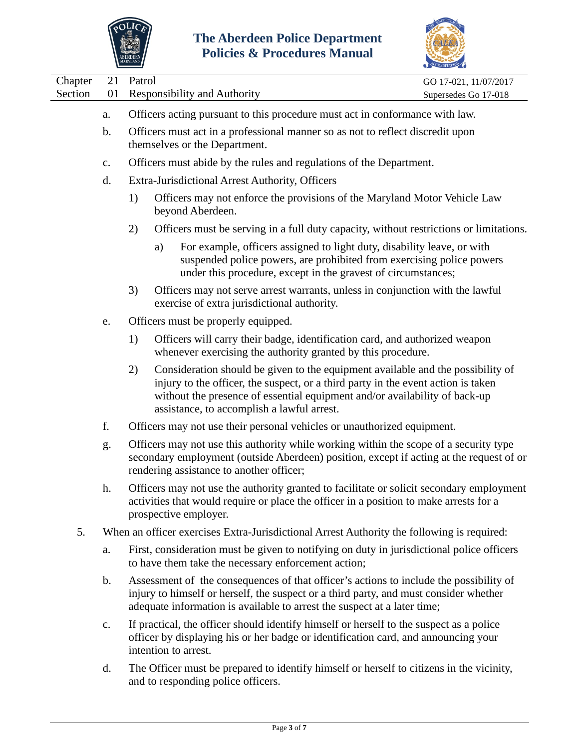



|                                                   |                |                                                                               |                                                                                                                                                                                                                                                                                                  | <b>COREDITATION</b>                           |
|---------------------------------------------------|----------------|-------------------------------------------------------------------------------|--------------------------------------------------------------------------------------------------------------------------------------------------------------------------------------------------------------------------------------------------------------------------------------------------|-----------------------------------------------|
| Chapter<br>Section                                | 21<br>01       | Patrol                                                                        | <b>Responsibility and Authority</b>                                                                                                                                                                                                                                                              | GO 17-021, 11/07/2017<br>Supersedes Go 17-018 |
|                                                   | a.             |                                                                               | Officers acting pursuant to this procedure must act in conformance with law.                                                                                                                                                                                                                     |                                               |
|                                                   | $\mathbf b$ .  |                                                                               | Officers must act in a professional manner so as not to reflect discredit upon<br>themselves or the Department.                                                                                                                                                                                  |                                               |
|                                                   | $\mathbf{c}$ . |                                                                               | Officers must abide by the rules and regulations of the Department.                                                                                                                                                                                                                              |                                               |
|                                                   | d.             |                                                                               | Extra-Jurisdictional Arrest Authority, Officers                                                                                                                                                                                                                                                  |                                               |
|                                                   |                | 1)                                                                            | Officers may not enforce the provisions of the Maryland Motor Vehicle Law<br>beyond Aberdeen.                                                                                                                                                                                                    |                                               |
|                                                   |                | 2)                                                                            | Officers must be serving in a full duty capacity, without restrictions or limitations.                                                                                                                                                                                                           |                                               |
|                                                   |                |                                                                               | For example, officers assigned to light duty, disability leave, or with<br>a)<br>suspended police powers, are prohibited from exercising police powers<br>under this procedure, except in the gravest of circumstances;                                                                          |                                               |
| 3)<br>exercise of extra jurisdictional authority. |                | Officers may not serve arrest warrants, unless in conjunction with the lawful |                                                                                                                                                                                                                                                                                                  |                                               |
| Officers must be properly equipped.<br>e.         |                |                                                                               |                                                                                                                                                                                                                                                                                                  |                                               |
|                                                   |                | 1)                                                                            | Officers will carry their badge, identification card, and authorized weapon<br>whenever exercising the authority granted by this procedure.                                                                                                                                                      |                                               |
|                                                   |                | 2)                                                                            | Consideration should be given to the equipment available and the possibility of<br>injury to the officer, the suspect, or a third party in the event action is taken<br>without the presence of essential equipment and/or availability of back-up<br>assistance, to accomplish a lawful arrest. |                                               |
|                                                   | f.             |                                                                               | Officers may not use their personal vehicles or unauthorized equipment.                                                                                                                                                                                                                          |                                               |
|                                                   | g.             |                                                                               | Officers may not use this authority while working within the scope of a security type<br>secondary employment (outside Aberdeen) position, except if acting at the request of or<br>rendering assistance to another officer;                                                                     |                                               |
|                                                   | h.             |                                                                               | Officers may not use the authority granted to facilitate or solicit secondary employment<br>activities that would require or place the officer in a position to make arrests for a<br>prospective employer.                                                                                      |                                               |
| 5.                                                |                |                                                                               | When an officer exercises Extra-Jurisdictional Arrest Authority the following is required:                                                                                                                                                                                                       |                                               |
| a.<br>$\mathbf b$ .                               |                |                                                                               | First, consideration must be given to notifying on duty in jurisdictional police officers<br>to have them take the necessary enforcement action;                                                                                                                                                 |                                               |
|                                                   |                |                                                                               | Assessment of the consequences of that officer's actions to include the possibility of<br>injury to himself or herself, the suspect or a third party, and must consider whether<br>adequate information is available to arrest the suspect at a later time;                                      |                                               |
|                                                   | c.             |                                                                               | If practical, the officer should identify himself or herself to the suspect as a police<br>officer by displaying his or her badge or identification card, and announcing your                                                                                                                    |                                               |

d. The Officer must be prepared to identify himself or herself to citizens in the vicinity, and to responding police officers.

intention to arrest.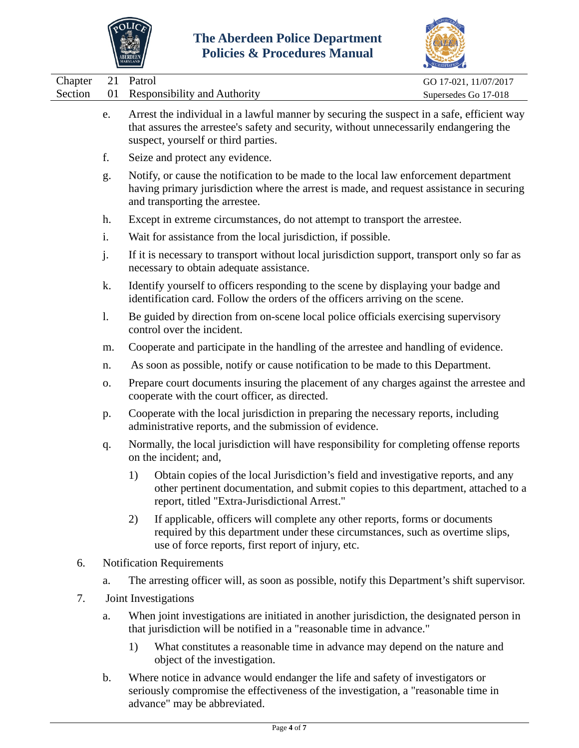



|                    |                                                                                                                                                                                                                          |                                                                                                                                                |                                                                                                                                                                                                                            | CCREDITATION                                  |  |
|--------------------|--------------------------------------------------------------------------------------------------------------------------------------------------------------------------------------------------------------------------|------------------------------------------------------------------------------------------------------------------------------------------------|----------------------------------------------------------------------------------------------------------------------------------------------------------------------------------------------------------------------------|-----------------------------------------------|--|
| Chapter<br>Section | 21<br>01                                                                                                                                                                                                                 | Patrol                                                                                                                                         | <b>Responsibility and Authority</b>                                                                                                                                                                                        | GO 17-021, 11/07/2017<br>Supersedes Go 17-018 |  |
|                    | e.                                                                                                                                                                                                                       |                                                                                                                                                | Arrest the individual in a lawful manner by securing the suspect in a safe, efficient way<br>that assures the arrestee's safety and security, without unnecessarily endangering the<br>suspect, yourself or third parties. |                                               |  |
|                    | f.                                                                                                                                                                                                                       |                                                                                                                                                | Seize and protect any evidence.                                                                                                                                                                                            |                                               |  |
|                    | Notify, or cause the notification to be made to the local law enforcement department<br>g.<br>having primary jurisdiction where the arrest is made, and request assistance in securing<br>and transporting the arrestee. |                                                                                                                                                |                                                                                                                                                                                                                            |                                               |  |
|                    | h.                                                                                                                                                                                                                       |                                                                                                                                                | Except in extreme circumstances, do not attempt to transport the arrestee.                                                                                                                                                 |                                               |  |
|                    | i.                                                                                                                                                                                                                       |                                                                                                                                                | Wait for assistance from the local jurisdiction, if possible.                                                                                                                                                              |                                               |  |
|                    | j.                                                                                                                                                                                                                       |                                                                                                                                                | If it is necessary to transport without local jurisdiction support, transport only so far as<br>necessary to obtain adequate assistance.                                                                                   |                                               |  |
|                    | Identify yourself to officers responding to the scene by displaying your badge and<br>k.<br>identification card. Follow the orders of the officers arriving on the scene.                                                |                                                                                                                                                |                                                                                                                                                                                                                            |                                               |  |
|                    | 1.                                                                                                                                                                                                                       | Be guided by direction from on-scene local police officials exercising supervisory<br>control over the incident.                               |                                                                                                                                                                                                                            |                                               |  |
|                    | m.                                                                                                                                                                                                                       | Cooperate and participate in the handling of the arrestee and handling of evidence.                                                            |                                                                                                                                                                                                                            |                                               |  |
|                    | n.                                                                                                                                                                                                                       | As soon as possible, notify or cause notification to be made to this Department.                                                               |                                                                                                                                                                                                                            |                                               |  |
|                    | 0.                                                                                                                                                                                                                       | Prepare court documents insuring the placement of any charges against the arrestee and<br>cooperate with the court officer, as directed.       |                                                                                                                                                                                                                            |                                               |  |
|                    | p.                                                                                                                                                                                                                       | Cooperate with the local jurisdiction in preparing the necessary reports, including<br>administrative reports, and the submission of evidence. |                                                                                                                                                                                                                            |                                               |  |
|                    | q.                                                                                                                                                                                                                       |                                                                                                                                                | Normally, the local jurisdiction will have responsibility for completing offense reports<br>on the incident; and,                                                                                                          |                                               |  |
|                    |                                                                                                                                                                                                                          | 1)                                                                                                                                             | Obtain copies of the local Jurisdiction's field and investigative reports, and any<br>other pertinent documentation, and submit copies to this department, attached to a<br>report, titled "Extra-Jurisdictional Arrest."  |                                               |  |
|                    |                                                                                                                                                                                                                          | 2)                                                                                                                                             | If applicable, officers will complete any other reports, forms or documents<br>required by this department under these circumstances, such as overtime slips,<br>use of force reports, first report of injury, etc.        |                                               |  |
| 6.                 |                                                                                                                                                                                                                          |                                                                                                                                                | <b>Notification Requirements</b>                                                                                                                                                                                           |                                               |  |
|                    | a.                                                                                                                                                                                                                       |                                                                                                                                                | The arresting officer will, as soon as possible, notify this Department's shift supervisor.                                                                                                                                |                                               |  |
| 7.                 |                                                                                                                                                                                                                          |                                                                                                                                                | Joint Investigations                                                                                                                                                                                                       |                                               |  |
|                    | a.                                                                                                                                                                                                                       |                                                                                                                                                | When joint investigations are initiated in another jurisdiction, the designated person in<br>that jurisdiction will be notified in a "reasonable time in advance."                                                         |                                               |  |
|                    |                                                                                                                                                                                                                          | 1)                                                                                                                                             | What constitutes a reasonable time in advance may depend on the nature and                                                                                                                                                 |                                               |  |

- object of the investigation.
- b. Where notice in advance would endanger the life and safety of investigators or seriously compromise the effectiveness of the investigation, a "reasonable time in advance" may be abbreviated.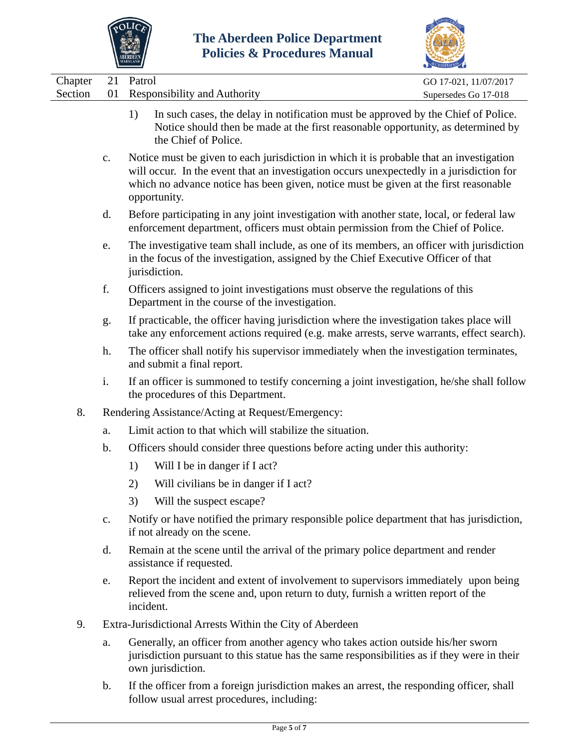



|                                                                                                                                                                                                        |                | $\cdots$                                                                                                                                                                                                                                                                                    | ACCREDITATION         |
|--------------------------------------------------------------------------------------------------------------------------------------------------------------------------------------------------------|----------------|---------------------------------------------------------------------------------------------------------------------------------------------------------------------------------------------------------------------------------------------------------------------------------------------|-----------------------|
| Chapter                                                                                                                                                                                                | 21             | Patrol                                                                                                                                                                                                                                                                                      | GO 17-021, 11/07/2017 |
| Section                                                                                                                                                                                                | 01             | <b>Responsibility and Authority</b>                                                                                                                                                                                                                                                         | Supersedes Go 17-018  |
|                                                                                                                                                                                                        |                | In such cases, the delay in notification must be approved by the Chief of Police.<br>1)<br>Notice should then be made at the first reasonable opportunity, as determined by<br>the Chief of Police.                                                                                         |                       |
|                                                                                                                                                                                                        | $\mathbf{C}$ . | Notice must be given to each jurisdiction in which it is probable that an investigation<br>will occur. In the event that an investigation occurs unexpectedly in a jurisdiction for<br>which no advance notice has been given, notice must be given at the first reasonable<br>opportunity. |                       |
|                                                                                                                                                                                                        | d.             | Before participating in any joint investigation with another state, local, or federal law<br>enforcement department, officers must obtain permission from the Chief of Police.                                                                                                              |                       |
| The investigative team shall include, as one of its members, an officer with jurisdiction<br>e.<br>in the focus of the investigation, assigned by the Chief Executive Officer of that<br>jurisdiction. |                |                                                                                                                                                                                                                                                                                             |                       |
|                                                                                                                                                                                                        | f.             | Officers assigned to joint investigations must observe the regulations of this<br>Department in the course of the investigation.                                                                                                                                                            |                       |
|                                                                                                                                                                                                        | g.             | If practicable, the officer having jurisdiction where the investigation takes place will<br>take any enforcement actions required (e.g. make arrests, serve warrants, effect search).                                                                                                       |                       |
|                                                                                                                                                                                                        | h.             | The officer shall notify his supervisor immediately when the investigation terminates,<br>and submit a final report.                                                                                                                                                                        |                       |
|                                                                                                                                                                                                        | i.             | If an officer is summoned to testify concerning a joint investigation, he/she shall follow<br>the procedures of this Department.                                                                                                                                                            |                       |
| 8.                                                                                                                                                                                                     |                | Rendering Assistance/Acting at Request/Emergency:                                                                                                                                                                                                                                           |                       |
|                                                                                                                                                                                                        | a.             | Limit action to that which will stabilize the situation.                                                                                                                                                                                                                                    |                       |
|                                                                                                                                                                                                        | b.             | Officers should consider three questions before acting under this authority:                                                                                                                                                                                                                |                       |
|                                                                                                                                                                                                        |                | Will I be in danger if I act?<br>1)                                                                                                                                                                                                                                                         |                       |
|                                                                                                                                                                                                        |                | (2)<br>Will civilians be in danger if I act?                                                                                                                                                                                                                                                |                       |
|                                                                                                                                                                                                        |                | Will the suspect escape?<br>3)                                                                                                                                                                                                                                                              |                       |
|                                                                                                                                                                                                        | c.             | Notify or have notified the primary responsible police department that has jurisdiction,<br>if not already on the scene.                                                                                                                                                                    |                       |
|                                                                                                                                                                                                        | d.             | Remain at the scene until the arrival of the primary police department and render<br>assistance if requested.                                                                                                                                                                               |                       |
|                                                                                                                                                                                                        | e.             | Report the incident and extent of involvement to supervisors immediately upon being<br>relieved from the scene and, upon return to duty, furnish a written report of the<br>incident.                                                                                                       |                       |
| 9.                                                                                                                                                                                                     |                | Extra-Jurisdictional Arrests Within the City of Aberdeen                                                                                                                                                                                                                                    |                       |
|                                                                                                                                                                                                        | a.             | Generally, an officer from another agency who takes action outside his/her sworn<br>jurisdiction pursuant to this statue has the same responsibilities as if they were in their                                                                                                             |                       |

own jurisdiction. b. If the officer from a foreign jurisdiction makes an arrest, the responding officer, shall follow usual arrest procedures, including: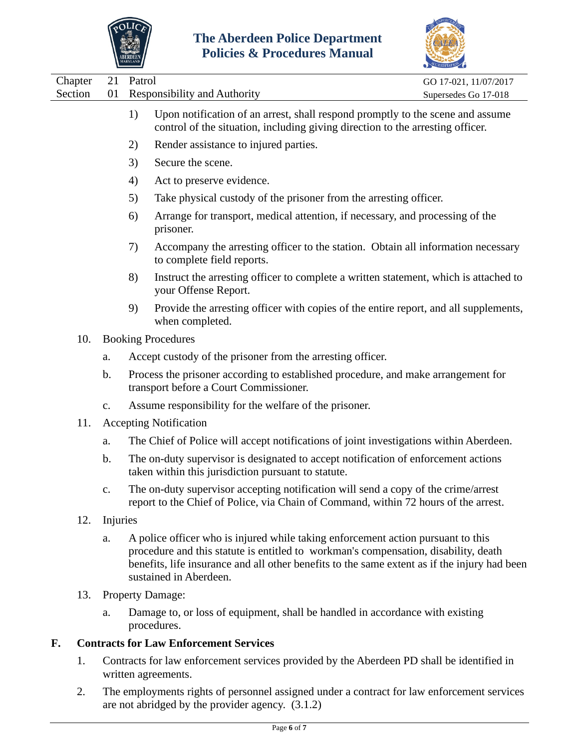



| Chapter<br>Section | 21<br>01      | Patrol | <b>Responsibility and Authority</b>                                                                                                                                                                                                                                                               | GO 17-021, 11/07/2017<br>Supersedes Go 17-018 |
|--------------------|---------------|--------|---------------------------------------------------------------------------------------------------------------------------------------------------------------------------------------------------------------------------------------------------------------------------------------------------|-----------------------------------------------|
|                    |               | 1)     | Upon notification of an arrest, shall respond promptly to the scene and assume<br>control of the situation, including giving direction to the arresting officer.                                                                                                                                  |                                               |
|                    |               | 2)     | Render assistance to injured parties.                                                                                                                                                                                                                                                             |                                               |
|                    |               | 3)     | Secure the scene.                                                                                                                                                                                                                                                                                 |                                               |
|                    |               | 4)     | Act to preserve evidence.                                                                                                                                                                                                                                                                         |                                               |
|                    |               | 5)     | Take physical custody of the prisoner from the arresting officer.                                                                                                                                                                                                                                 |                                               |
|                    |               | 6)     | Arrange for transport, medical attention, if necessary, and processing of the<br>prisoner.                                                                                                                                                                                                        |                                               |
|                    |               | 7)     | Accompany the arresting officer to the station. Obtain all information necessary<br>to complete field reports.                                                                                                                                                                                    |                                               |
|                    |               | 8)     | Instruct the arresting officer to complete a written statement, which is attached to<br>your Offense Report.                                                                                                                                                                                      |                                               |
|                    |               | 9)     | Provide the arresting officer with copies of the entire report, and all supplements,<br>when completed.                                                                                                                                                                                           |                                               |
| 10.                |               |        | <b>Booking Procedures</b>                                                                                                                                                                                                                                                                         |                                               |
|                    | a.            |        | Accept custody of the prisoner from the arresting officer.                                                                                                                                                                                                                                        |                                               |
|                    | $\mathbf b$ . |        | Process the prisoner according to established procedure, and make arrangement for<br>transport before a Court Commissioner.                                                                                                                                                                       |                                               |
|                    | c.            |        | Assume responsibility for the welfare of the prisoner.                                                                                                                                                                                                                                            |                                               |
| 11.                |               |        | <b>Accepting Notification</b>                                                                                                                                                                                                                                                                     |                                               |
|                    | a.            |        | The Chief of Police will accept notifications of joint investigations within Aberdeen.                                                                                                                                                                                                            |                                               |
|                    | b.            |        | The on-duty supervisor is designated to accept notification of enforcement actions<br>taken within this jurisdiction pursuant to statute.                                                                                                                                                         |                                               |
|                    |               |        | The on-duty supervisor accepting notification will send a copy of the crime/arrest<br>report to the Chief of Police, via Chain of Command, within 72 hours of the arrest.                                                                                                                         |                                               |
| 12.                | Injuries      |        |                                                                                                                                                                                                                                                                                                   |                                               |
|                    | a.            |        | A police officer who is injured while taking enforcement action pursuant to this<br>procedure and this statute is entitled to workman's compensation, disability, death<br>benefits, life insurance and all other benefits to the same extent as if the injury had been<br>sustained in Aberdeen. |                                               |
| 13.                |               |        | <b>Property Damage:</b>                                                                                                                                                                                                                                                                           |                                               |
|                    | a.            |        | Damage to, or loss of equipment, shall be handled in accordance with existing<br>procedures.                                                                                                                                                                                                      |                                               |
|                    |               |        |                                                                                                                                                                                                                                                                                                   |                                               |

### **F. Contracts for Law Enforcement Services**

- 1. Contracts for law enforcement services provided by the Aberdeen PD shall be identified in written agreements.
- 2. The employments rights of personnel assigned under a contract for law enforcement services are not abridged by the provider agency. (3.1.2)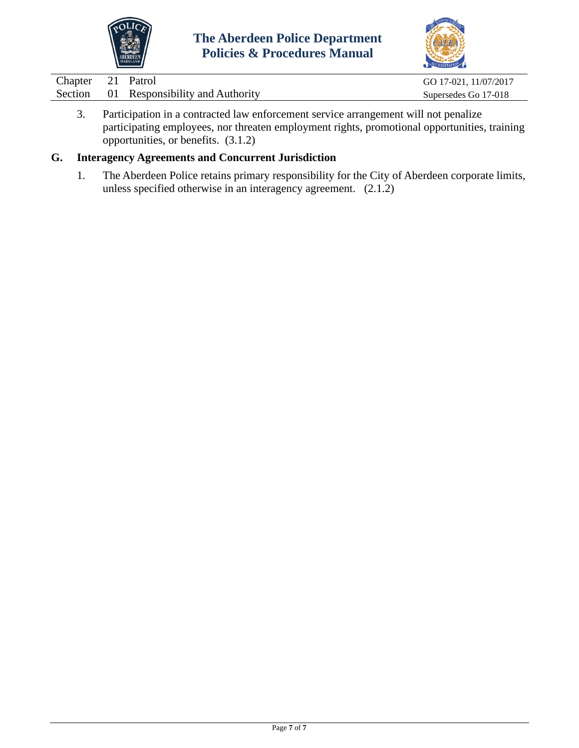



| Chapter 21 Patrol |                                         | GO 17-021, 11/07/2017 |
|-------------------|-----------------------------------------|-----------------------|
|                   | Section 01 Responsibility and Authority | Supersedes Go 17-018  |
|                   |                                         |                       |

3. Participation in a contracted law enforcement service arrangement will not penalize participating employees, nor threaten employment rights, promotional opportunities, training opportunities, or benefits. (3.1.2)

# **G. Interagency Agreements and Concurrent Jurisdiction**

1. The Aberdeen Police retains primary responsibility for the City of Aberdeen corporate limits, unless specified otherwise in an interagency agreement. (2.1.2)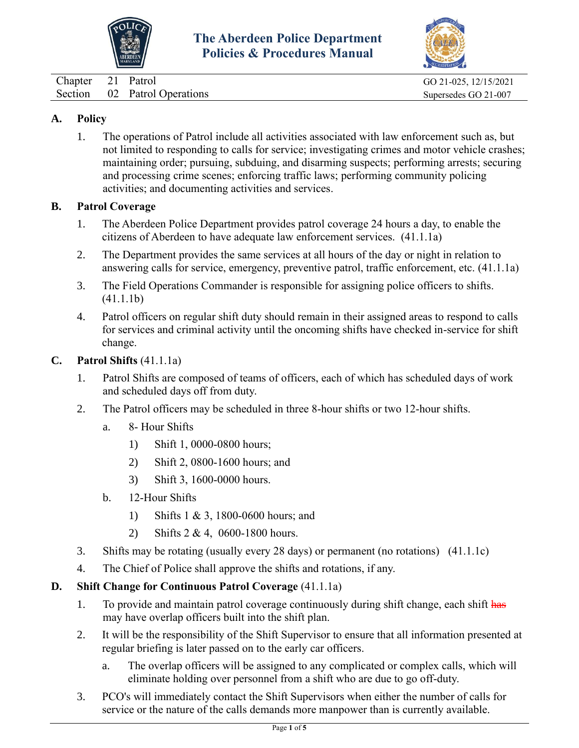



Chapter 21 Patrol GO 21-025, 12/15/2021

## **A. Policy**

1. The operations of Patrol include all activities associated with law enforcement such as, but not limited to responding to calls for service; investigating crimes and motor vehicle crashes; maintaining order; pursuing, subduing, and disarming suspects; performing arrests; securing and processing crime scenes; enforcing traffic laws; performing community policing activities; and documenting activities and services.

### **B. Patrol Coverage**

- 1. The Aberdeen Police Department provides patrol coverage 24 hours a day, to enable the citizens of Aberdeen to have adequate law enforcement services. (41.1.1a)
- 2. The Department provides the same services at all hours of the day or night in relation to answering calls for service, emergency, preventive patrol, traffic enforcement, etc. (41.1.1a)
- 3. The Field Operations Commander is responsible for assigning police officers to shifts. (41.1.1b)
- 4. Patrol officers on regular shift duty should remain in their assigned areas to respond to calls for services and criminal activity until the oncoming shifts have checked in-service for shift change.

### **C. Patrol Shifts** (41.1.1a)

- 1. Patrol Shifts are composed of teams of officers, each of which has scheduled days of work and scheduled days off from duty.
- 2. The Patrol officers may be scheduled in three 8-hour shifts or two 12-hour shifts.
	- a. 8- Hour Shifts
		- 1) Shift 1, 0000-0800 hours;
		- 2) Shift 2, 0800-1600 hours; and
		- 3) Shift 3, 1600-0000 hours.
	- b. 12-Hour Shifts
		- 1) Shifts 1 & 3, 1800-0600 hours; and
		- 2) Shifts 2 & 4, 0600-1800 hours.
- 3. Shifts may be rotating (usually every 28 days) or permanent (no rotations) (41.1.1c)
- 4. The Chief of Police shall approve the shifts and rotations, if any.

## **D. Shift Change for Continuous Patrol Coverage** (41.1.1a)

- 1. To provide and maintain patrol coverage continuously during shift change, each shift has may have overlap officers built into the shift plan.
- 2. It will be the responsibility of the Shift Supervisor to ensure that all information presented at regular briefing is later passed on to the early car officers.
	- a. The overlap officers will be assigned to any complicated or complex calls, which will eliminate holding over personnel from a shift who are due to go off-duty.
- 3. PCO's will immediately contact the Shift Supervisors when either the number of calls for service or the nature of the calls demands more manpower than is currently available.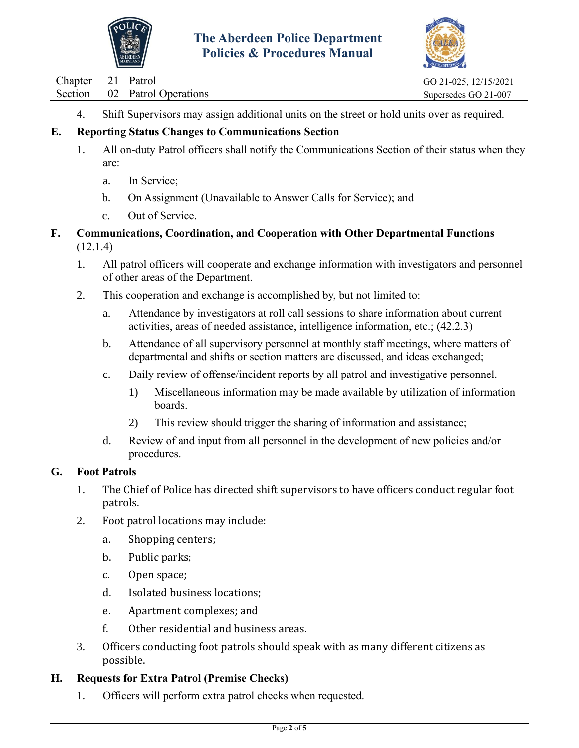



Chapter 21 Patrol GO 21-025, 12/15/2021

4. Shift Supervisors may assign additional units on the street or hold units over as required.

# **E. Reporting Status Changes to Communications Section**

- 1. All on-duty Patrol officers shall notify the Communications Section of their status when they are:
	- a. In Service;
	- b. On Assignment (Unavailable to Answer Calls for Service); and
	- c. Out of Service.
- **F. Communications, Coordination, and Cooperation with Other Departmental Functions** (12.1.4)
	- 1. All patrol officers will cooperate and exchange information with investigators and personnel of other areas of the Department.
	- 2. This cooperation and exchange is accomplished by, but not limited to:
		- a. Attendance by investigators at roll call sessions to share information about current activities, areas of needed assistance, intelligence information, etc.; (42.2.3)
		- b. Attendance of all supervisory personnel at monthly staff meetings, where matters of departmental and shifts or section matters are discussed, and ideas exchanged;
		- c. Daily review of offense/incident reports by all patrol and investigative personnel.
			- 1) Miscellaneous information may be made available by utilization of information boards.
			- 2) This review should trigger the sharing of information and assistance;
		- d. Review of and input from all personnel in the development of new policies and/or procedures.

## **G. Foot Patrols**

- 1. The Chief of Police has directed shift supervisors to have officers conduct regular foot patrols.
- 2. Foot patrol locations may include:
	- a. Shopping centers;
	- b. Public parks;
	- c. Open space;
	- d. Isolated business locations;
	- e. Apartment complexes; and
	- f. Other residential and business areas.
- 3. Officers conducting foot patrols should speak with as many different citizens as possible.

## **H. Requests for Extra Patrol (Premise Checks)**

1. Officers will perform extra patrol checks when requested.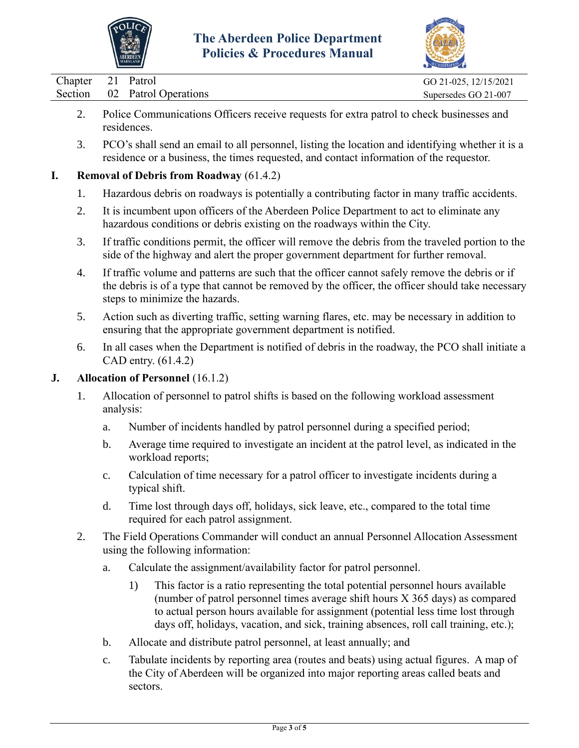



| Chapter 21 Patrol |                              | GO 21-025, 12/15/2021 |
|-------------------|------------------------------|-----------------------|
|                   | Section 02 Patrol Operations | Supersedes GO 21-007  |
|                   |                              |                       |

- 2. Police Communications Officers receive requests for extra patrol to check businesses and residences.
- 3. PCO's shall send an email to all personnel, listing the location and identifying whether it is a residence or a business, the times requested, and contact information of the requestor.

### **I. Removal of Debris from Roadway** (61.4.2)

- 1. Hazardous debris on roadways is potentially a contributing factor in many traffic accidents.
- 2. It is incumbent upon officers of the Aberdeen Police Department to act to eliminate any hazardous conditions or debris existing on the roadways within the City.
- 3. If traffic conditions permit, the officer will remove the debris from the traveled portion to the side of the highway and alert the proper government department for further removal.
- 4. If traffic volume and patterns are such that the officer cannot safely remove the debris or if the debris is of a type that cannot be removed by the officer, the officer should take necessary steps to minimize the hazards.
- 5. Action such as diverting traffic, setting warning flares, etc. may be necessary in addition to ensuring that the appropriate government department is notified.
- 6. In all cases when the Department is notified of debris in the roadway, the PCO shall initiate a CAD entry. (61.4.2)

### **J. Allocation of Personnel** (16.1.2)

- 1. Allocation of personnel to patrol shifts is based on the following workload assessment analysis:
	- a. Number of incidents handled by patrol personnel during a specified period;
	- b. Average time required to investigate an incident at the patrol level, as indicated in the workload reports;
	- c. Calculation of time necessary for a patrol officer to investigate incidents during a typical shift.
	- d. Time lost through days off, holidays, sick leave, etc., compared to the total time required for each patrol assignment.
- 2. The Field Operations Commander will conduct an annual Personnel Allocation Assessment using the following information:
	- a. Calculate the assignment/availability factor for patrol personnel.
		- 1) This factor is a ratio representing the total potential personnel hours available (number of patrol personnel times average shift hours X 365 days) as compared to actual person hours available for assignment (potential less time lost through days off, holidays, vacation, and sick, training absences, roll call training, etc.);
	- b. Allocate and distribute patrol personnel, at least annually; and
	- c. Tabulate incidents by reporting area (routes and beats) using actual figures. A map of the City of Aberdeen will be organized into major reporting areas called beats and sectors.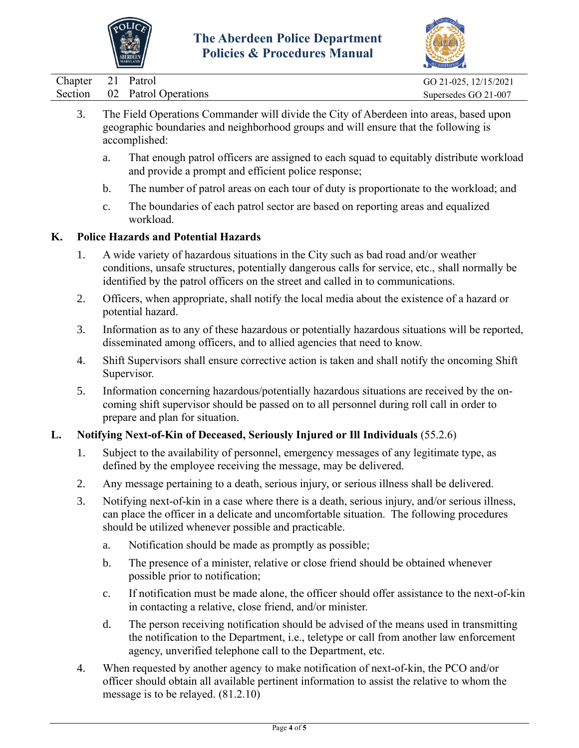



|                              | $\sum_{k}$            |
|------------------------------|-----------------------|
| Chapter 21 Patrol            | GO 21-025, 12/15/2021 |
| Section 02 Patrol Operations | Supersedes GO 21-007  |
| $-1$ $-1$ $-$                |                       |

- 3. The Field Operations Commander will divide the City of Aberdeen into areas, based upon geographic boundaries and neighborhood groups and will ensure that the following is accomplished:
	- a. That enough patrol officers are assigned to each squad to equitably distribute workload and provide a prompt and efficient police response;
	- b. The number of patrol areas on each tour of duty is proportionate to the workload; and
	- c. The boundaries of each patrol sector are based on reporting areas and equalized workload.

### **K. Police Hazards and Potential Hazards**

- 1. A wide variety of hazardous situations in the City such as bad road and/or weather conditions, unsafe structures, potentially dangerous calls for service, etc., shall normally be identified by the patrol officers on the street and called in to communications.
- 2. Officers, when appropriate, shall notify the local media about the existence of a hazard or potential hazard.
- 3. Information as to any of these hazardous or potentially hazardous situations will be reported, disseminated among officers, and to allied agencies that need to know.
- 4. Shift Supervisors shall ensure corrective action is taken and shall notify the oncoming Shift Supervisor.
- 5. Information concerning hazardous/potentially hazardous situations are received by the oncoming shift supervisor should be passed on to all personnel during roll call in order to prepare and plan for situation.

### **L. Notifying Next-of-Kin of Deceased, Seriously Injured or Ill Individuals** (55.2.6)

- 1. Subject to the availability of personnel, emergency messages of any legitimate type, as defined by the employee receiving the message, may be delivered.
- 2. Any message pertaining to a death, serious injury, or serious illness shall be delivered.
- 3. Notifying next-of-kin in a case where there is a death, serious injury, and/or serious illness, can place the officer in a delicate and uncomfortable situation. The following procedures should be utilized whenever possible and practicable.
	- a. Notification should be made as promptly as possible;
	- b. The presence of a minister, relative or close friend should be obtained whenever possible prior to notification;
	- c. If notification must be made alone, the officer should offer assistance to the next-of-kin in contacting a relative, close friend, and/or minister.
	- d. The person receiving notification should be advised of the means used in transmitting the notification to the Department, i.e., teletype or call from another law enforcement agency, unverified telephone call to the Department, etc.
- 4. When requested by another agency to make notification of next-of-kin, the PCO and/or officer should obtain all available pertinent information to assist the relative to whom the message is to be relayed. (81.2.10)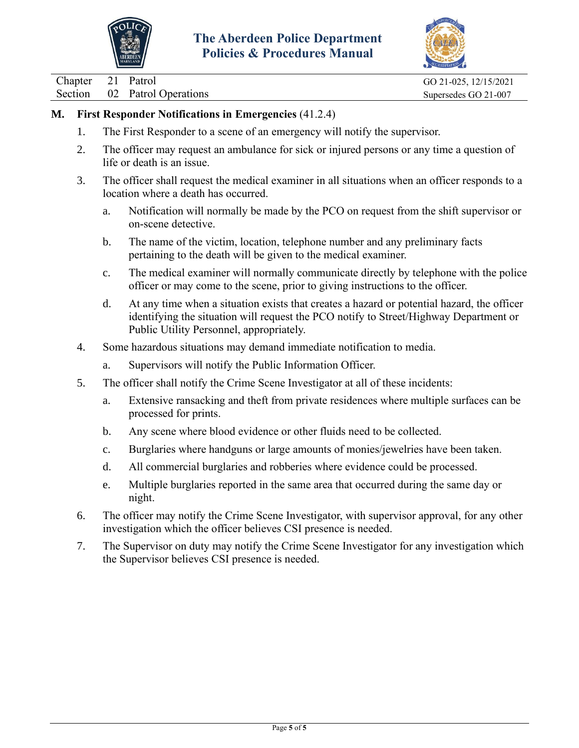



Chapter 21 Patrol GO 21-025, 12/15/2021

Section 02 Patrol Operations Supersedes GO 21-007

# **M. First Responder Notifications in Emergencies** (41.2.4)

- 1. The First Responder to a scene of an emergency will notify the supervisor.
- 2. The officer may request an ambulance for sick or injured persons or any time a question of life or death is an issue.
- 3. The officer shall request the medical examiner in all situations when an officer responds to a location where a death has occurred.
	- a. Notification will normally be made by the PCO on request from the shift supervisor or on-scene detective.
	- b. The name of the victim, location, telephone number and any preliminary facts pertaining to the death will be given to the medical examiner.
	- c. The medical examiner will normally communicate directly by telephone with the police officer or may come to the scene, prior to giving instructions to the officer.
	- d. At any time when a situation exists that creates a hazard or potential hazard, the officer identifying the situation will request the PCO notify to Street/Highway Department or Public Utility Personnel, appropriately.
- 4. Some hazardous situations may demand immediate notification to media.
	- a. Supervisors will notify the Public Information Officer.
- 5. The officer shall notify the Crime Scene Investigator at all of these incidents:
	- a. Extensive ransacking and theft from private residences where multiple surfaces can be processed for prints.
	- b. Any scene where blood evidence or other fluids need to be collected.
	- c. Burglaries where handguns or large amounts of monies/jewelries have been taken.
	- d. All commercial burglaries and robberies where evidence could be processed.
	- e. Multiple burglaries reported in the same area that occurred during the same day or night.
- 6. The officer may notify the Crime Scene Investigator, with supervisor approval, for any other investigation which the officer believes CSI presence is needed.
- 7. The Supervisor on duty may notify the Crime Scene Investigator for any investigation which the Supervisor believes CSI presence is needed.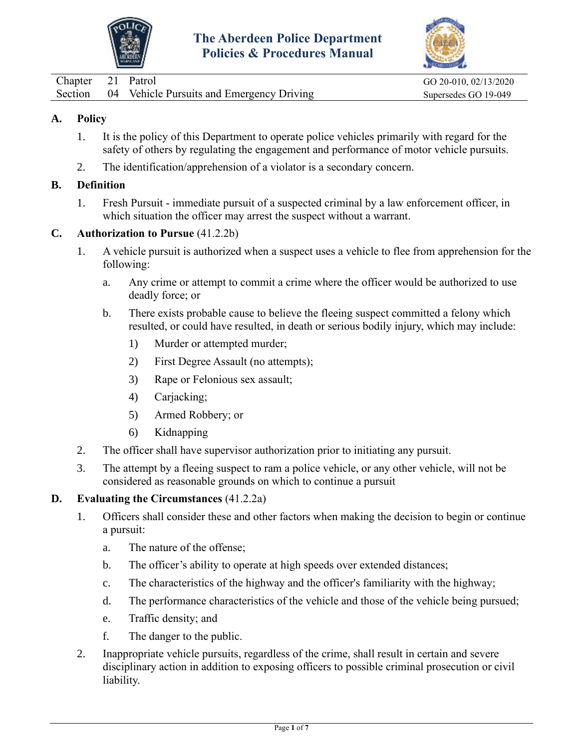



<span id="page-13-0"></span>

| Chapter 21 Patrol |                                                   | GO 20-010, 02/13/2020 |
|-------------------|---------------------------------------------------|-----------------------|
|                   | Section 04 Vehicle Pursuits and Emergency Driving | Supersedes GO 19-049  |

- 1. It is the policy of this Department to operate police vehicles primarily with regard for the safety of others by regulating the engagement and performance of motor vehicle pursuits.
- 2. The identification/apprehension of a violator is a secondary concern.

### **B. Definition**

1. Fresh Pursuit - immediate pursuit of a suspected criminal by a law enforcement officer, in which situation the officer may arrest the suspect without a warrant.

### **C. Authorization to Pursue** (41.2.2b)

- 1. A vehicle pursuit is authorized when a suspect uses a vehicle to flee from apprehension for the following:
	- a. Any crime or attempt to commit a crime where the officer would be authorized to use deadly force; or
	- b. There exists probable cause to believe the fleeing suspect committed a felony which resulted, or could have resulted, in death or serious bodily injury, which may include:
		- 1) Murder or attempted murder;
		- 2) First Degree Assault (no attempts);
		- 3) Rape or Felonious sex assault;
		- 4) Carjacking;
		- 5) Armed Robbery; or
		- 6) Kidnapping
- 2. The officer shall have supervisor authorization prior to initiating any pursuit.
- 3. The attempt by a fleeing suspect to ram a police vehicle, or any other vehicle, will not be considered as reasonable grounds on which to continue a pursuit

#### **D. Evaluating the Circumstances** (41.2.2a)

- 1. Officers shall consider these and other factors when making the decision to begin or continue a pursuit:
	- a. The nature of the offense;
	- b. The officer's ability to operate at high speeds over extended distances;
	- c. The characteristics of the highway and the officer's familiarity with the highway;
	- d. The performance characteristics of the vehicle and those of the vehicle being pursued;
	- e. Traffic density; and
	- f. The danger to the public.
- 2. Inappropriate vehicle pursuits, regardless of the crime, shall result in certain and severe disciplinary action in addition to exposing officers to possible criminal prosecution or civil liability.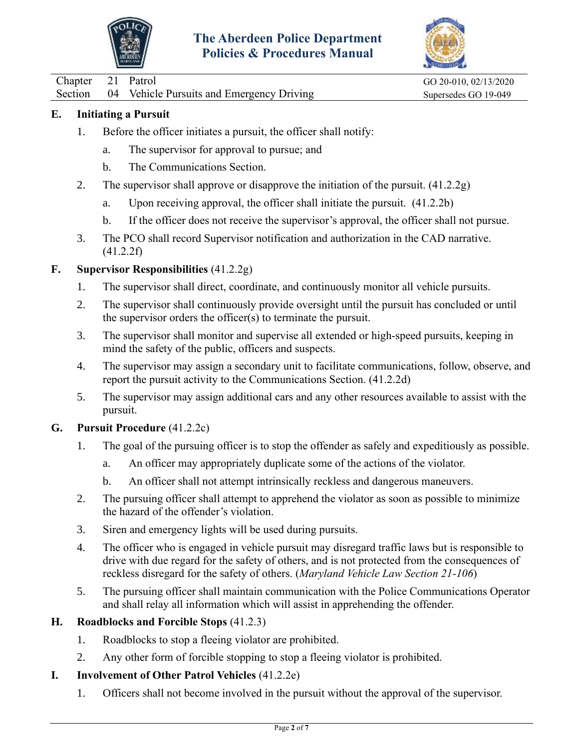



Chapter 21 Patrol GO 20-010, 02/13/2020

Section 04 Vehicle Pursuits and Emergency Driving Supersedes GO 19-049

### **E. Initiating a Pursuit**

- 1. Before the officer initiates a pursuit, the officer shall notify:
	- a. The supervisor for approval to pursue; and
	- b. The Communications Section.
- 2. The supervisor shall approve or disapprove the initiation of the pursuit. (41.2.2g)
	- a. Upon receiving approval, the officer shall initiate the pursuit. (41.2.2b)
	- b. If the officer does not receive the supervisor's approval, the officer shall not pursue.
- 3. The PCO shall record Supervisor notification and authorization in the CAD narrative. (41.2.2f)

### **F. Supervisor Responsibilities** (41.2.2g)

- 1. The supervisor shall direct, coordinate, and continuously monitor all vehicle pursuits.
- 2. The supervisor shall continuously provide oversight until the pursuit has concluded or until the supervisor orders the officer(s) to terminate the pursuit.
- 3. The supervisor shall monitor and supervise all extended or high-speed pursuits, keeping in mind the safety of the public, officers and suspects.
- 4. The supervisor may assign a secondary unit to facilitate communications, follow, observe, and report the pursuit activity to the Communications Section. (41.2.2d)
- 5. The supervisor may assign additional cars and any other resources available to assist with the pursuit.

### **G. Pursuit Procedure** (41.2.2c)

- 1. The goal of the pursuing officer is to stop the offender as safely and expeditiously as possible.
	- a. An officer may appropriately duplicate some of the actions of the violator.
	- b. An officer shall not attempt intrinsically reckless and dangerous maneuvers.
- 2. The pursuing officer shall attempt to apprehend the violator as soon as possible to minimize the hazard of the offender's violation.
- 3. Siren and emergency lights will be used during pursuits.
- 4. The officer who is engaged in vehicle pursuit may disregard traffic laws but is responsible to drive with due regard for the safety of others, and is not protected from the consequences of reckless disregard for the safety of others. (*Maryland Vehicle Law Section 21-106*)
- 5. The pursuing officer shall maintain communication with the Police Communications Operator and shall relay all information which will assist in apprehending the offender.

## **H. Roadblocks and Forcible Stops** (41.2.3)

- 1. Roadblocks to stop a fleeing violator are prohibited.
- 2. Any other form of forcible stopping to stop a fleeing violator is prohibited.

## **I. Involvement of Other Patrol Vehicles** (41.2.2e)

1. Officers shall not become involved in the pursuit without the approval of the supervisor.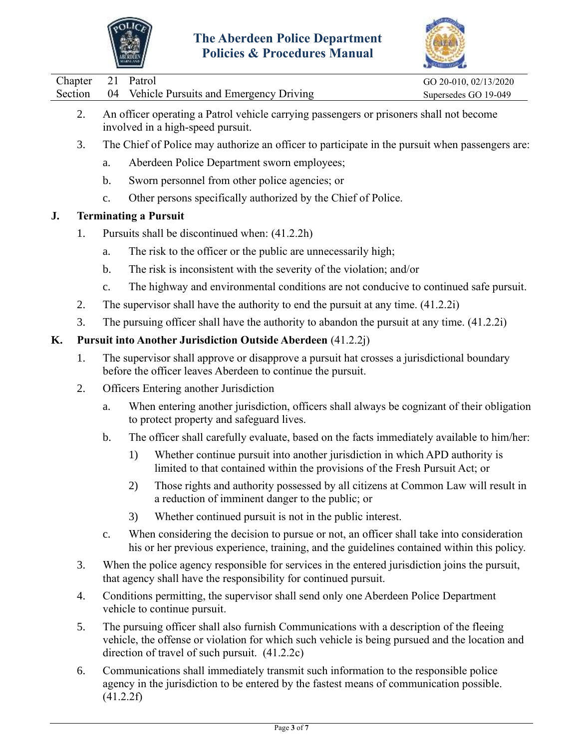



| Chapter 21 Patrol |                                                   | GO 20-010, 02/13/2020 |
|-------------------|---------------------------------------------------|-----------------------|
|                   | Section 04 Vehicle Pursuits and Emergency Driving | Supersedes GO 19-049  |
|                   |                                                   |                       |

- 2. An officer operating a Patrol vehicle carrying passengers or prisoners shall not become involved in a high-speed pursuit.
- 3. The Chief of Police may authorize an officer to participate in the pursuit when passengers are:
	- a. Aberdeen Police Department sworn employees;
	- b. Sworn personnel from other police agencies; or
	- c. Other persons specifically authorized by the Chief of Police.

### **J. Terminating a Pursuit**

- 1. Pursuits shall be discontinued when: (41.2.2h)
	- a. The risk to the officer or the public are unnecessarily high;
	- b. The risk is inconsistent with the severity of the violation; and/or
	- c. The highway and environmental conditions are not conducive to continued safe pursuit.
- 2. The supervisor shall have the authority to end the pursuit at any time. (41.2.2i)
- 3. The pursuing officer shall have the authority to abandon the pursuit at any time. (41.2.2i)

### **K. Pursuit into Another Jurisdiction Outside Aberdeen** (41.2.2j)

- 1. The supervisor shall approve or disapprove a pursuit hat crosses a jurisdictional boundary before the officer leaves Aberdeen to continue the pursuit.
- 2. Officers Entering another Jurisdiction
	- a. When entering another jurisdiction, officers shall always be cognizant of their obligation to protect property and safeguard lives.
	- b. The officer shall carefully evaluate, based on the facts immediately available to him/her:
		- 1) Whether continue pursuit into another jurisdiction in which APD authority is limited to that contained within the provisions of the Fresh Pursuit Act; or
		- 2) Those rights and authority possessed by all citizens at Common Law will result in a reduction of imminent danger to the public; or
		- 3) Whether continued pursuit is not in the public interest.
	- c. When considering the decision to pursue or not, an officer shall take into consideration his or her previous experience, training, and the guidelines contained within this policy.
- 3. When the police agency responsible for services in the entered jurisdiction joins the pursuit, that agency shall have the responsibility for continued pursuit.
- 4. Conditions permitting, the supervisor shall send only one Aberdeen Police Department vehicle to continue pursuit.
- 5. The pursuing officer shall also furnish Communications with a description of the fleeing vehicle, the offense or violation for which such vehicle is being pursued and the location and direction of travel of such pursuit. (41.2.2c)
- 6. Communications shall immediately transmit such information to the responsible police agency in the jurisdiction to be entered by the fastest means of communication possible. (41.2.2f)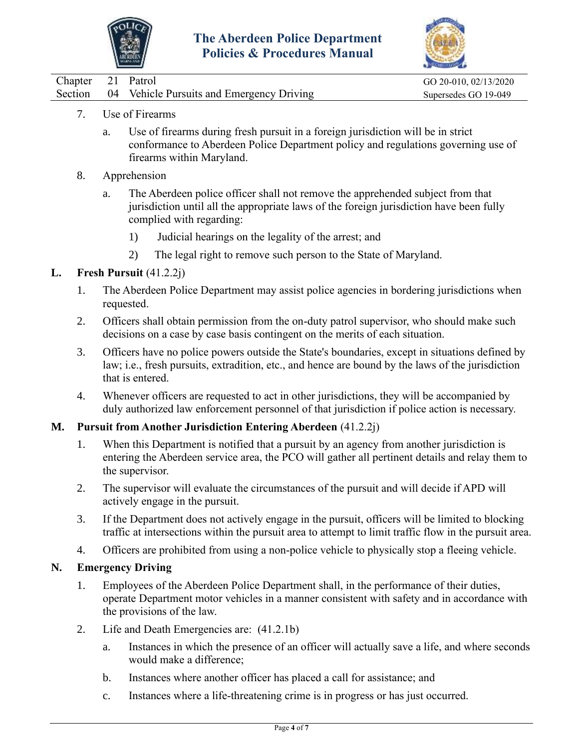



| Chapter 21 Patrol |                                                   | GO 20-010, 02/13/2020 |
|-------------------|---------------------------------------------------|-----------------------|
|                   | Section 04 Vehicle Pursuits and Emergency Driving | Supersedes GO 19-049  |

- 7. Use of Firearms
	- a. Use of firearms during fresh pursuit in a foreign jurisdiction will be in strict conformance to Aberdeen Police Department policy and regulations governing use of firearms within Maryland.
- 8. Apprehension
	- a. The Aberdeen police officer shall not remove the apprehended subject from that jurisdiction until all the appropriate laws of the foreign jurisdiction have been fully complied with regarding:
		- 1) Judicial hearings on the legality of the arrest; and
		- 2) The legal right to remove such person to the State of Maryland.

#### **L. Fresh Pursuit** (41.2.2j)

- 1. The Aberdeen Police Department may assist police agencies in bordering jurisdictions when requested.
- 2. Officers shall obtain permission from the on-duty patrol supervisor, who should make such decisions on a case by case basis contingent on the merits of each situation.
- 3. Officers have no police powers outside the State's boundaries, except in situations defined by law; i.e., fresh pursuits, extradition, etc., and hence are bound by the laws of the jurisdiction that is entered.
- 4. Whenever officers are requested to act in other jurisdictions, they will be accompanied by duly authorized law enforcement personnel of that jurisdiction if police action is necessary.

#### **M. Pursuit from Another Jurisdiction Entering Aberdeen** (41.2.2j)

- 1. When this Department is notified that a pursuit by an agency from another jurisdiction is entering the Aberdeen service area, the PCO will gather all pertinent details and relay them to the supervisor.
- 2. The supervisor will evaluate the circumstances of the pursuit and will decide if APD will actively engage in the pursuit.
- 3. If the Department does not actively engage in the pursuit, officers will be limited to blocking traffic at intersections within the pursuit area to attempt to limit traffic flow in the pursuit area.
- 4. Officers are prohibited from using a non-police vehicle to physically stop a fleeing vehicle.

### **N. Emergency Driving**

- 1. Employees of the Aberdeen Police Department shall, in the performance of their duties, operate Department motor vehicles in a manner consistent with safety and in accordance with the provisions of the law.
- 2. Life and Death Emergencies are: (41.2.1b)
	- a. Instances in which the presence of an officer will actually save a life, and where seconds would make a difference;
	- b. Instances where another officer has placed a call for assistance; and
	- c. Instances where a life-threatening crime is in progress or has just occurred.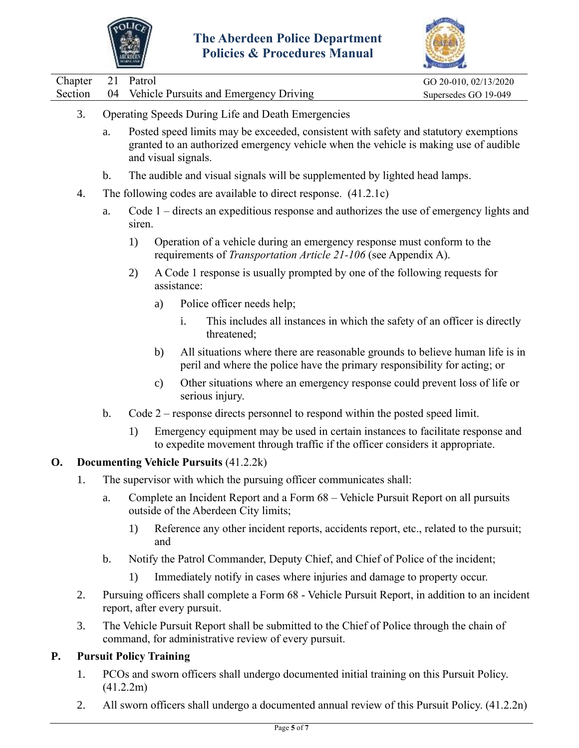



|         |                | <b>WARNTANI</b>                                                                                                                                   |                                |                                                                                                                                                                                                     |                       |  |
|---------|----------------|---------------------------------------------------------------------------------------------------------------------------------------------------|--------------------------------|-----------------------------------------------------------------------------------------------------------------------------------------------------------------------------------------------------|-----------------------|--|
| Chapter | 21             | Patrol                                                                                                                                            |                                |                                                                                                                                                                                                     | GO 20-010, 02/13/2020 |  |
| Section | 04             |                                                                                                                                                   |                                | Vehicle Pursuits and Emergency Driving                                                                                                                                                              | Supersedes GO 19-049  |  |
| 3.      |                |                                                                                                                                                   |                                | Operating Speeds During Life and Death Emergencies                                                                                                                                                  |                       |  |
|         | a.             |                                                                                                                                                   |                                | Posted speed limits may be exceeded, consistent with safety and statutory exemptions<br>granted to an authorized emergency vehicle when the vehicle is making use of audible<br>and visual signals. |                       |  |
|         | $\mathbf b$ .  |                                                                                                                                                   |                                | The audible and visual signals will be supplemented by lighted head lamps.                                                                                                                          |                       |  |
| 4.      |                |                                                                                                                                                   |                                | The following codes are available to direct response. (41.2.1c)                                                                                                                                     |                       |  |
|         | a.             | siren.                                                                                                                                            |                                | Code 1 – directs an expeditious response and authorizes the use of emergency lights and                                                                                                             |                       |  |
|         |                | 1)                                                                                                                                                |                                | Operation of a vehicle during an emergency response must conform to the<br>requirements of <i>Transportation Article 21-106</i> (see Appendix A).                                                   |                       |  |
|         |                | 2)                                                                                                                                                |                                | A Code 1 response is usually prompted by one of the following requests for<br>assistance:                                                                                                           |                       |  |
|         |                |                                                                                                                                                   | a)                             | Police officer needs help;                                                                                                                                                                          |                       |  |
|         |                |                                                                                                                                                   |                                | i.<br>This includes all instances in which the safety of an officer is directly<br>threatened;                                                                                                      |                       |  |
|         |                |                                                                                                                                                   | b)                             | All situations where there are reasonable grounds to believe human life is in<br>peril and where the police have the primary responsibility for acting; or                                          |                       |  |
|         |                |                                                                                                                                                   | $\mathbf{c})$                  | Other situations where an emergency response could prevent loss of life or<br>serious injury.                                                                                                       |                       |  |
|         | $\mathbf b$ .  |                                                                                                                                                   |                                | Code $2$ – response directs personnel to respond within the posted speed limit.                                                                                                                     |                       |  |
|         |                | 1)                                                                                                                                                |                                | Emergency equipment may be used in certain instances to facilitate response and<br>to expedite movement through traffic if the officer considers it appropriate.                                    |                       |  |
| 0.      |                |                                                                                                                                                   |                                | <b>Documenting Vehicle Pursuits (41.2.2k)</b>                                                                                                                                                       |                       |  |
| 1.      |                |                                                                                                                                                   |                                | The supervisor with which the pursuing officer communicates shall:                                                                                                                                  |                       |  |
|         | a.             |                                                                                                                                                   |                                | Complete an Incident Report and a Form 68 – Vehicle Pursuit Report on all pursuits<br>outside of the Aberdeen City limits;                                                                          |                       |  |
|         |                | 1)                                                                                                                                                | and                            | Reference any other incident reports, accidents report, etc., related to the pursuit;                                                                                                               |                       |  |
|         | $\mathbf{b}$ . |                                                                                                                                                   |                                | Notify the Patrol Commander, Deputy Chief, and Chief of Police of the incident;                                                                                                                     |                       |  |
|         |                | 1)                                                                                                                                                |                                | Immediately notify in cases where injuries and damage to property occur.                                                                                                                            |                       |  |
| 2.      |                | Pursuing officers shall complete a Form 68 - Vehicle Pursuit Report, in addition to an incident<br>report, after every pursuit.                   |                                |                                                                                                                                                                                                     |                       |  |
| 3.      |                | The Vehicle Pursuit Report shall be submitted to the Chief of Police through the chain of<br>command, for administrative review of every pursuit. |                                |                                                                                                                                                                                                     |                       |  |
| P.      |                |                                                                                                                                                   | <b>Pursuit Policy Training</b> |                                                                                                                                                                                                     |                       |  |
| 1.      |                |                                                                                                                                                   |                                | PCOs and sworn officers shall undergo documented initial training on this Pursuit Policy.                                                                                                           |                       |  |

(41.2.2m) 2. All sworn officers shall undergo a documented annual review of this Pursuit Policy. (41.2.2n)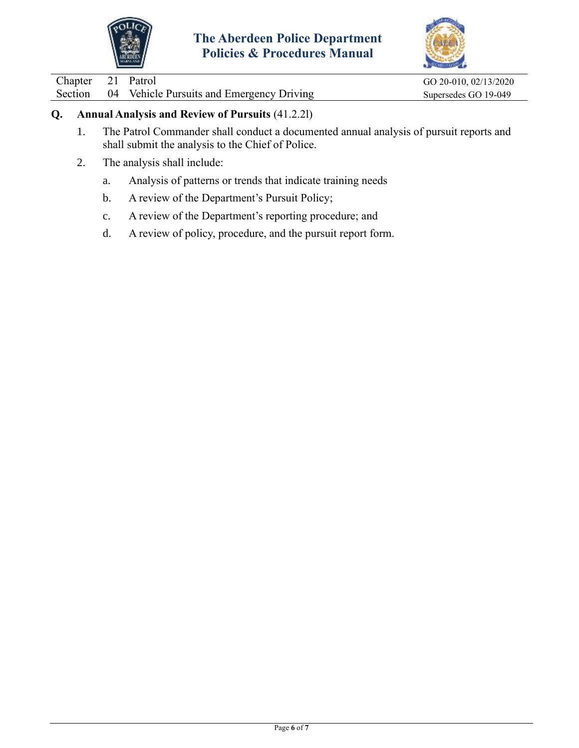



Chapter 21 Patrol GO 20-010, 02/13/2020

Section 04 Vehicle Pursuits and Emergency Driving Supersedes GO 19-049

### **Q. Annual Analysis and Review of Pursuits** (41.2.2l)

- 1. The Patrol Commander shall conduct a documented annual analysis of pursuit reports and shall submit the analysis to the Chief of Police.
- 2. The analysis shall include:
	- a. Analysis of patterns or trends that indicate training needs
	- b. A review of the Department's Pursuit Policy;
	- c. A review of the Department's reporting procedure; and
	- d. A review of policy, procedure, and the pursuit report form.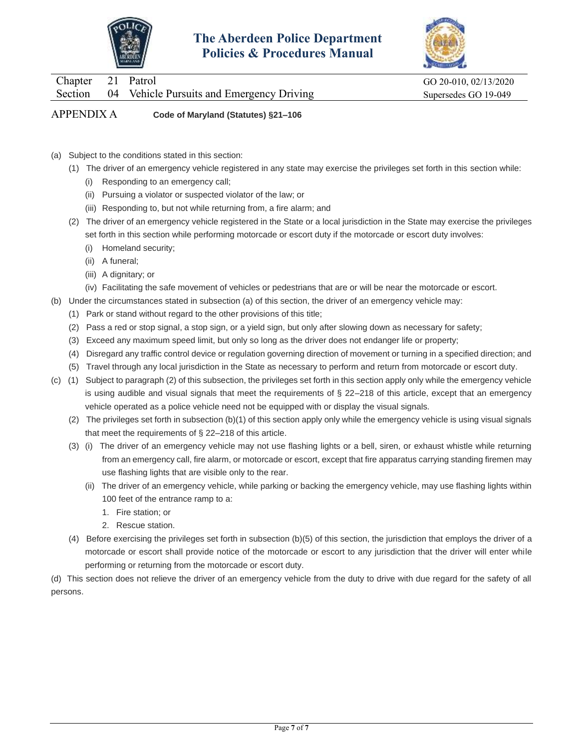



APPENDIX A **Code of Maryland (Statutes) §21–106**

- (a) Subject to the conditions stated in this section:
	- (1) The driver of an emergency vehicle registered in any state may exercise the privileges set forth in this section while:
		- (i) Responding to an emergency call;
		- (ii) Pursuing a violator or suspected violator of the law; or
		- (iii) Responding to, but not while returning from, a fire alarm; and
	- (2) The driver of an emergency vehicle registered in the State or a local jurisdiction in the State may exercise the privileges set forth in this section while performing motorcade or escort duty if the motorcade or escort duty involves:
		- (i) Homeland security;
		- (ii) A funeral;
		- (iii) A dignitary; or
		- (iv) Facilitating the safe movement of vehicles or pedestrians that are or will be near the motorcade or escort.
- (b) Under the circumstances stated in subsection (a) of this section, the driver of an emergency vehicle may:
	- (1) Park or stand without regard to the other provisions of this title;
	- (2) Pass a red or stop signal, a stop sign, or a yield sign, but only after slowing down as necessary for safety;
	- (3) Exceed any maximum speed limit, but only so long as the driver does not endanger life or property;
	- (4) Disregard any traffic control device or regulation governing direction of movement or turning in a specified direction; and
	- (5) Travel through any local jurisdiction in the State as necessary to perform and return from motorcade or escort duty.
- (c) (1) Subject to paragraph (2) of this subsection, the privileges set forth in this section apply only while the emergency vehicle is using audible and visual signals that meet the requirements of § 22–218 of this article, except that an emergency vehicle operated as a police vehicle need not be equipped with or display the visual signals.
	- (2) The privileges set forth in subsection (b)(1) of this section apply only while the emergency vehicle is using visual signals that meet the requirements of § 22–218 of this article.
	- (3) (i) The driver of an emergency vehicle may not use flashing lights or a bell, siren, or exhaust whistle while returning from an emergency call, fire alarm, or motorcade or escort, except that fire apparatus carrying standing firemen may use flashing lights that are visible only to the rear.
		- (ii) The driver of an emergency vehicle, while parking or backing the emergency vehicle, may use flashing lights within 100 feet of the entrance ramp to a:
			- 1. Fire station; or
			- 2. Rescue station.
	- (4) Before exercising the privileges set forth in subsection (b)(5) of this section, the jurisdiction that employs the driver of a motorcade or escort shall provide notice of the motorcade or escort to any jurisdiction that the driver will enter while performing or returning from the motorcade or escort duty.

(d) This section does not relieve the driver of an emergency vehicle from the duty to drive with due regard for the safety of all persons.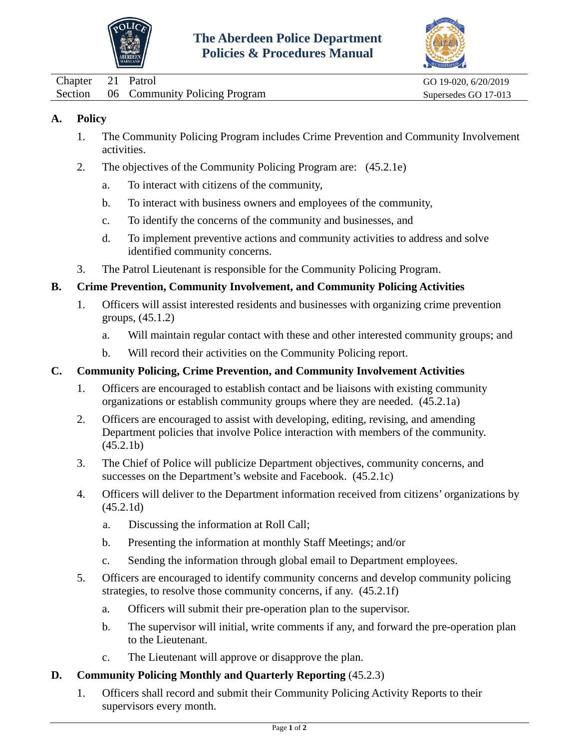



<span id="page-20-0"></span>Chapter 21 Patrol GO 19-020, 6/20/2019 Section 06 Community Policing Program Supersedes GO 17-013

### **A. Policy**

- 1. The Community Policing Program includes Crime Prevention and Community Involvement activities.
- 2. The objectives of the Community Policing Program are: (45.2.1e)
	- a. To interact with citizens of the community,
	- b. To interact with business owners and employees of the community,
	- c. To identify the concerns of the community and businesses, and
	- d. To implement preventive actions and community activities to address and solve identified community concerns.
- 3. The Patrol Lieutenant is responsible for the Community Policing Program.

### **B. Crime Prevention, Community Involvement, and Community Policing Activities**

- 1. Officers will assist interested residents and businesses with organizing crime prevention groups, (45.1.2)
	- a. Will maintain regular contact with these and other interested community groups; and
	- b. Will record their activities on the Community Policing report.

### **C. Community Policing, Crime Prevention, and Community Involvement Activities**

- 1. Officers are encouraged to establish contact and be liaisons with existing community organizations or establish community groups where they are needed. (45.2.1a)
- 2. Officers are encouraged to assist with developing, editing, revising, and amending Department policies that involve Police interaction with members of the community.  $(45.2.1b)$
- 3. The Chief of Police will publicize Department objectives, community concerns, and successes on the Department's website and Facebook. (45.2.1c)
- 4. Officers will deliver to the Department information received from citizens' organizations by (45.2.1d)
	- a. Discussing the information at Roll Call;
	- b. Presenting the information at monthly Staff Meetings; and/or
	- c. Sending the information through global email to Department employees.
- 5. Officers are encouraged to identify community concerns and develop community policing strategies, to resolve those community concerns, if any. (45.2.1f)
	- a. Officers will submit their pre-operation plan to the supervisor.
	- b. The supervisor will initial, write comments if any, and forward the pre-operation plan to the Lieutenant.
	- c. The Lieutenant will approve or disapprove the plan.
- **D. Community Policing Monthly and Quarterly Reporting** (45.2.3)
	- 1. Officers shall record and submit their Community Policing Activity Reports to their supervisors every month.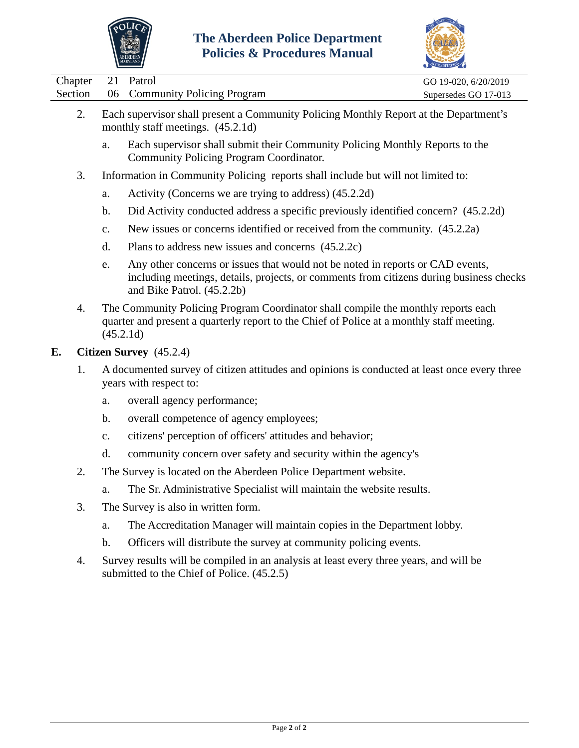



|         |                                                                                                                                                                                             | <b>Policies &amp; Procedures Manual</b><br>ABERDEEN                                                                                                                                                     |                      |  |
|---------|---------------------------------------------------------------------------------------------------------------------------------------------------------------------------------------------|---------------------------------------------------------------------------------------------------------------------------------------------------------------------------------------------------------|----------------------|--|
| Chapter | 21                                                                                                                                                                                          | Patrol                                                                                                                                                                                                  | GO 19-020, 6/20/2019 |  |
| Section | 06                                                                                                                                                                                          | <b>Community Policing Program</b>                                                                                                                                                                       | Supersedes GO 17-013 |  |
| 2.      |                                                                                                                                                                                             | Each supervisor shall present a Community Policing Monthly Report at the Department's<br>monthly staff meetings. (45.2.1d)                                                                              |                      |  |
|         | a.                                                                                                                                                                                          | Each supervisor shall submit their Community Policing Monthly Reports to the<br>Community Policing Program Coordinator.                                                                                 |                      |  |
| 3.      |                                                                                                                                                                                             | Information in Community Policing reports shall include but will not limited to:                                                                                                                        |                      |  |
|         | a.                                                                                                                                                                                          | Activity (Concerns we are trying to address) (45.2.2d)                                                                                                                                                  |                      |  |
|         | $\mathbf b$ .                                                                                                                                                                               | Did Activity conducted address a specific previously identified concern? (45.2.2d)                                                                                                                      |                      |  |
|         | C.                                                                                                                                                                                          | New issues or concerns identified or received from the community. (45.2.2a)                                                                                                                             |                      |  |
|         | d.                                                                                                                                                                                          | Plans to address new issues and concerns (45.2.2c)                                                                                                                                                      |                      |  |
|         | e.                                                                                                                                                                                          | Any other concerns or issues that would not be noted in reports or CAD events,<br>including meetings, details, projects, or comments from citizens during business checks<br>and Bike Patrol. (45.2.2b) |                      |  |
| 4.      | The Community Policing Program Coordinator shall compile the monthly reports each<br>quarter and present a quarterly report to the Chief of Police at a monthly staff meeting.<br>(45.2.1d) |                                                                                                                                                                                                         |                      |  |
| Е.      |                                                                                                                                                                                             | Citizen Survey (45.2.4)                                                                                                                                                                                 |                      |  |
| 1.      |                                                                                                                                                                                             | A documented survey of citizen attitudes and opinions is conducted at least once every three<br>years with respect to:                                                                                  |                      |  |
|         | a.                                                                                                                                                                                          | overall agency performance;                                                                                                                                                                             |                      |  |
|         | b.                                                                                                                                                                                          | overall competence of agency employees;                                                                                                                                                                 |                      |  |
|         | $\mathbf{c}$ .                                                                                                                                                                              | citizens' perception of officers' attitudes and behavior;                                                                                                                                               |                      |  |
|         | d.                                                                                                                                                                                          | community concern over safety and security within the agency's                                                                                                                                          |                      |  |
|         |                                                                                                                                                                                             |                                                                                                                                                                                                         |                      |  |
| 2.      |                                                                                                                                                                                             | The Survey is located on the Aberdeen Police Department website.                                                                                                                                        |                      |  |
|         | a.                                                                                                                                                                                          | The Sr. Administrative Specialist will maintain the website results.                                                                                                                                    |                      |  |
| 3.      |                                                                                                                                                                                             | The Survey is also in written form.                                                                                                                                                                     |                      |  |
|         | a.                                                                                                                                                                                          | The Accreditation Manager will maintain copies in the Department lobby.                                                                                                                                 |                      |  |
|         | $\mathbf b$ .                                                                                                                                                                               | Officers will distribute the survey at community policing events.                                                                                                                                       |                      |  |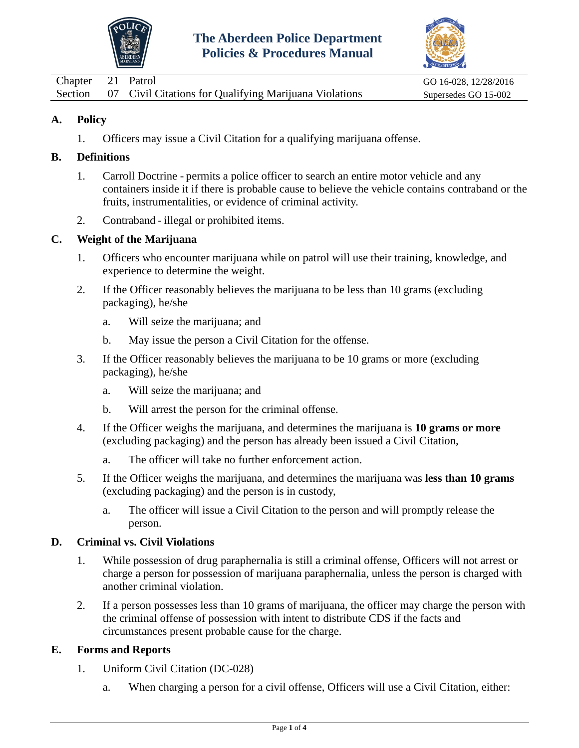



<span id="page-22-0"></span>

| Chapter 21 Patrol |                                                                | GO 16-028, 12/28/2016 |
|-------------------|----------------------------------------------------------------|-----------------------|
|                   | Section 07 Civil Citations for Qualifying Marijuana Violations | Supersedes GO 15-002  |

1. Officers may issue a Civil Citation for a qualifying marijuana offense.

### **B. Definitions**

- 1. Carroll Doctrine permits a police officer to search an entire motor vehicle and any containers inside it if there is probable cause to believe the vehicle contains contraband or the fruits, instrumentalities, or evidence of criminal activity.
- 2. Contraband illegal or prohibited items.

### **C. Weight of the Marijuana**

- 1. Officers who encounter marijuana while on patrol will use their training, knowledge, and experience to determine the weight.
- 2. If the Officer reasonably believes the marijuana to be less than 10 grams (excluding packaging), he/she
	- a. Will seize the marijuana; and
	- b. May issue the person a Civil Citation for the offense.
- 3. If the Officer reasonably believes the marijuana to be 10 grams or more (excluding packaging), he/she
	- a. Will seize the marijuana; and
	- b. Will arrest the person for the criminal offense.
- 4. If the Officer weighs the marijuana, and determines the marijuana is **10 grams or more** (excluding packaging) and the person has already been issued a Civil Citation,
	- a. The officer will take no further enforcement action.
- 5. If the Officer weighs the marijuana, and determines the marijuana was **less than 10 grams** (excluding packaging) and the person is in custody,
	- a. The officer will issue a Civil Citation to the person and will promptly release the person.

### **D. Criminal vs. Civil Violations**

- 1. While possession of drug paraphernalia is still a criminal offense, Officers will not arrest or charge a person for possession of marijuana paraphernalia, unless the person is charged with another criminal violation.
- 2. If a person possesses less than 10 grams of marijuana, the officer may charge the person with the criminal offense of possession with intent to distribute CDS if the facts and circumstances present probable cause for the charge.

## **E. Forms and Reports**

- 1. Uniform Civil Citation (DC-028)
	- a. When charging a person for a civil offense, Officers will use a Civil Citation, either: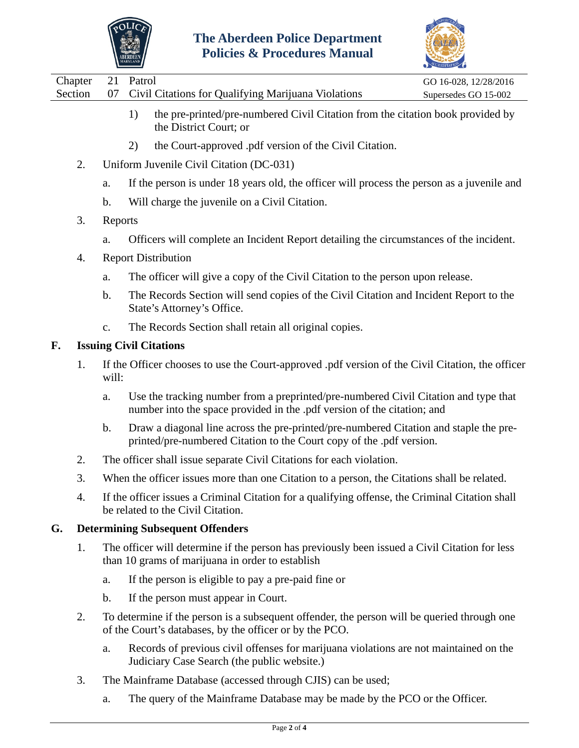



| Chapter 21 Patrol |                                                                | GO 16-028, 12/28/2016 |
|-------------------|----------------------------------------------------------------|-----------------------|
|                   | Section 07 Civil Citations for Qualifying Marijuana Violations | Supersedes GO 15-002  |
|                   |                                                                |                       |

- 1) the pre-printed/pre-numbered Civil Citation from the citation book provided by the District Court; or
- 2) the Court-approved .pdf version of the Civil Citation.
- 2. Uniform Juvenile Civil Citation (DC-031)
	- a. If the person is under 18 years old, the officer will process the person as a juvenile and
	- b. Will charge the juvenile on a Civil Citation.
- 3. Reports
	- a. Officers will complete an Incident Report detailing the circumstances of the incident.
- 4. Report Distribution
	- a. The officer will give a copy of the Civil Citation to the person upon release.
	- b. The Records Section will send copies of the Civil Citation and Incident Report to the State's Attorney's Office.
	- c. The Records Section shall retain all original copies.

# **F. Issuing Civil Citations**

- 1. If the Officer chooses to use the Court-approved .pdf version of the Civil Citation, the officer will:
	- a. Use the tracking number from a preprinted/pre-numbered Civil Citation and type that number into the space provided in the .pdf version of the citation; and
	- b. Draw a diagonal line across the pre-printed/pre-numbered Citation and staple the preprinted/pre-numbered Citation to the Court copy of the .pdf version.
- 2. The officer shall issue separate Civil Citations for each violation.
- 3. When the officer issues more than one Citation to a person, the Citations shall be related.
- 4. If the officer issues a Criminal Citation for a qualifying offense, the Criminal Citation shall be related to the Civil Citation.

## **G. Determining Subsequent Offenders**

- 1. The officer will determine if the person has previously been issued a Civil Citation for less than 10 grams of marijuana in order to establish
	- a. If the person is eligible to pay a pre-paid fine or
	- b. If the person must appear in Court.
- 2. To determine if the person is a subsequent offender, the person will be queried through one of the Court's databases, by the officer or by the PCO.
	- a. Records of previous civil offenses for marijuana violations are not maintained on the Judiciary Case Search (the public website.)
- 3. The Mainframe Database (accessed through CJIS) can be used;
	- a. The query of the Mainframe Database may be made by the PCO or the Officer.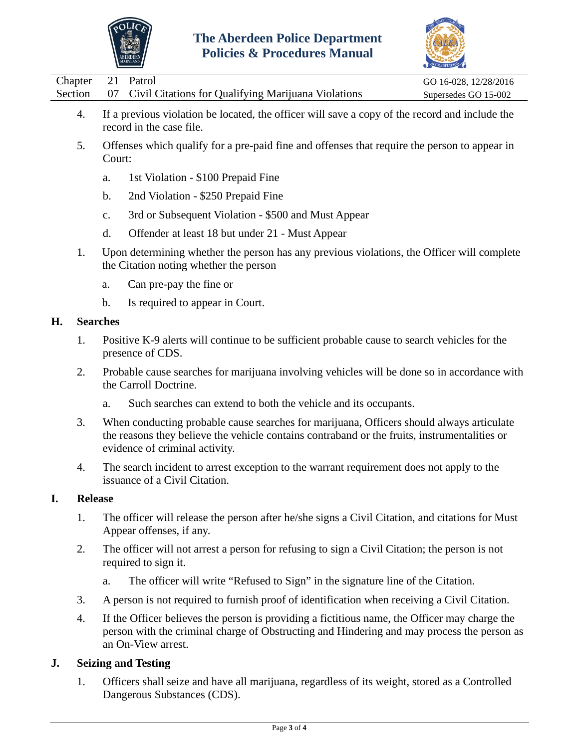



| Chapter 21 Patrol |                                                                | GO 16-028, 12/28/2016 |
|-------------------|----------------------------------------------------------------|-----------------------|
|                   | Section 07 Civil Citations for Qualifying Marijuana Violations | Supersedes GO 15-002  |
|                   |                                                                |                       |

- 4. If a previous violation be located, the officer will save a copy of the record and include the record in the case file.
- 5. Offenses which qualify for a pre-paid fine and offenses that require the person to appear in Court:
	- a. 1st Violation \$100 Prepaid Fine
	- b. 2nd Violation \$250 Prepaid Fine
	- c. 3rd or Subsequent Violation \$500 and Must Appear
	- d. Offender at least 18 but under 21 Must Appear
- 1. Upon determining whether the person has any previous violations, the Officer will complete the Citation noting whether the person
	- a. Can pre-pay the fine or
	- b. Is required to appear in Court.

### **H. Searches**

- 1. Positive K-9 alerts will continue to be sufficient probable cause to search vehicles for the presence of CDS.
- 2. Probable cause searches for marijuana involving vehicles will be done so in accordance with the Carroll Doctrine.
	- a. Such searches can extend to both the vehicle and its occupants.
- 3. When conducting probable cause searches for marijuana, Officers should always articulate the reasons they believe the vehicle contains contraband or the fruits, instrumentalities or evidence of criminal activity.
- 4. The search incident to arrest exception to the warrant requirement does not apply to the issuance of a Civil Citation.

### **I. Release**

- 1. The officer will release the person after he/she signs a Civil Citation, and citations for Must Appear offenses, if any.
- 2. The officer will not arrest a person for refusing to sign a Civil Citation; the person is not required to sign it.
	- a. The officer will write "Refused to Sign" in the signature line of the Citation.
- 3. A person is not required to furnish proof of identification when receiving a Civil Citation.
- 4. If the Officer believes the person is providing a fictitious name, the Officer may charge the person with the criminal charge of Obstructing and Hindering and may process the person as an On-View arrest.

## **J. Seizing and Testing**

1. Officers shall seize and have all marijuana, regardless of its weight, stored as a Controlled Dangerous Substances (CDS).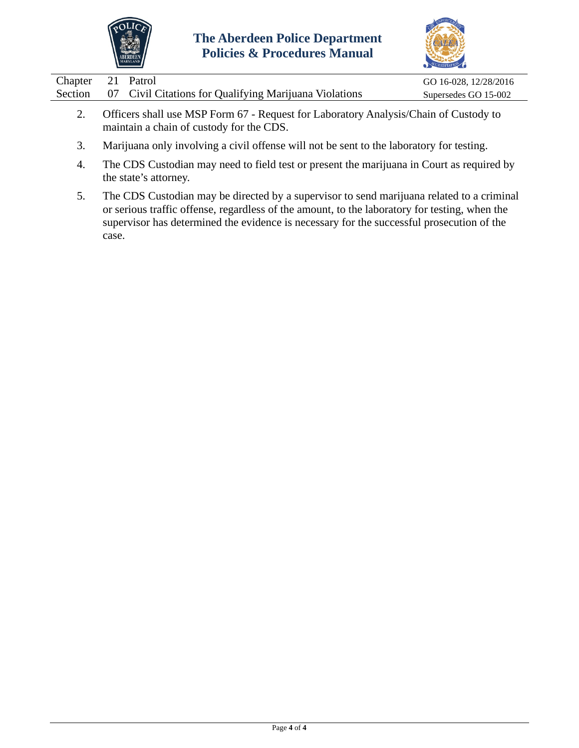



| Chapter 21 Patrol |               |                                                                | GO 16-028, 12/28/2016 |
|-------------------|---------------|----------------------------------------------------------------|-----------------------|
|                   |               | Section 07 Civil Citations for Qualifying Marijuana Violations | Supersedes GO 15-002  |
|                   | $\sim$ $\sim$ | $\mathbf{r}$<br>$\sim$                                         |                       |

- 2. Officers shall use MSP Form 67 Request for Laboratory Analysis/Chain of Custody to maintain a chain of custody for the CDS.
- 3. Marijuana only involving a civil offense will not be sent to the laboratory for testing.
- 4. The CDS Custodian may need to field test or present the marijuana in Court as required by the state's attorney.
- 5. The CDS Custodian may be directed by a supervisor to send marijuana related to a criminal or serious traffic offense, regardless of the amount, to the laboratory for testing, when the supervisor has determined the evidence is necessary for the successful prosecution of the case.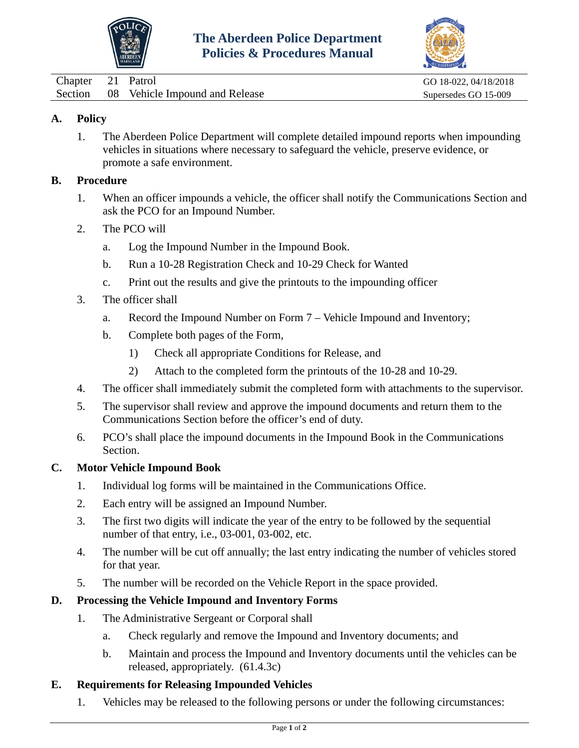



<span id="page-26-0"></span>

| Chapter 21 Patrol |                                        | GO 18-022, 04/18/2018 |
|-------------------|----------------------------------------|-----------------------|
|                   | Section 08 Vehicle Impound and Release | Supersedes GO 15-009  |

1. The Aberdeen Police Department will complete detailed impound reports when impounding vehicles in situations where necessary to safeguard the vehicle, preserve evidence, or promote a safe environment.

#### **B. Procedure**

- 1. When an officer impounds a vehicle, the officer shall notify the Communications Section and ask the PCO for an Impound Number.
- 2. The PCO will
	- a. Log the Impound Number in the Impound Book.
	- b. Run a 10-28 Registration Check and 10-29 Check for Wanted
	- c. Print out the results and give the printouts to the impounding officer
- 3. The officer shall
	- a. Record the Impound Number on Form 7 Vehicle Impound and Inventory;
	- b. Complete both pages of the Form,
		- 1) Check all appropriate Conditions for Release, and
		- 2) Attach to the completed form the printouts of the 10-28 and 10-29.
- 4. The officer shall immediately submit the completed form with attachments to the supervisor.
- 5. The supervisor shall review and approve the impound documents and return them to the Communications Section before the officer's end of duty.
- 6. PCO's shall place the impound documents in the Impound Book in the Communications Section.

### **C. Motor Vehicle Impound Book**

- 1. Individual log forms will be maintained in the Communications Office.
- 2. Each entry will be assigned an Impound Number.
- 3. The first two digits will indicate the year of the entry to be followed by the sequential number of that entry, i.e., 03-001, 03-002, etc.
- 4. The number will be cut off annually; the last entry indicating the number of vehicles stored for that year.
- 5. The number will be recorded on the Vehicle Report in the space provided.

### **D. Processing the Vehicle Impound and Inventory Forms**

- 1. The Administrative Sergeant or Corporal shall
	- a. Check regularly and remove the Impound and Inventory documents; and
	- b. Maintain and process the Impound and Inventory documents until the vehicles can be released, appropriately. (61.4.3c)

### **E. Requirements for Releasing Impounded Vehicles**

1. Vehicles may be released to the following persons or under the following circumstances: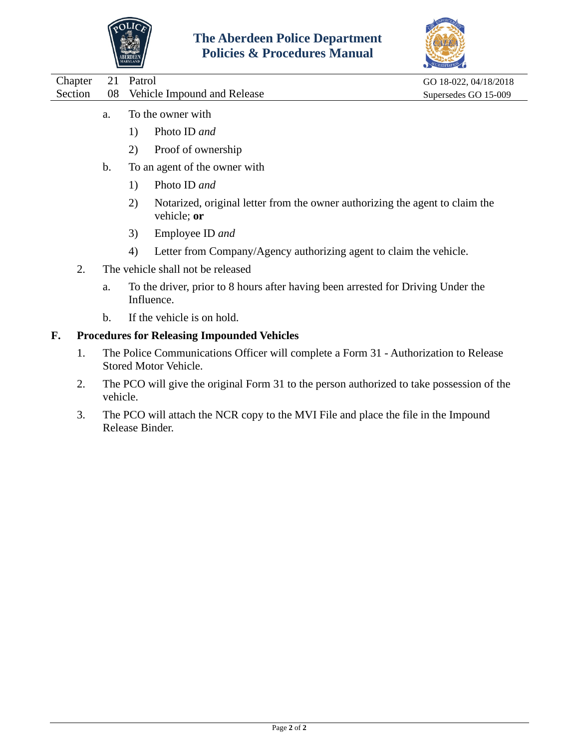



|    |                                                                     | GO 18-022, 04/18/2018 |
|----|---------------------------------------------------------------------|-----------------------|
| 08 | Vehicle Impound and Release                                         | Supersedes GO 15-009  |
| a. | To the owner with<br>Photo ID and<br>1)<br>Proof of ownership<br>2) |                       |
| b. | To an agent of the owner with                                       |                       |
|    |                                                                     | 21 Patrol             |

- 1) Photo ID *and*
- 2) Notarized, original letter from the owner authorizing the agent to claim the vehicle; **or**
- 3) Employee ID *and*
- 4) Letter from Company/Agency authorizing agent to claim the vehicle.
- 2. The vehicle shall not be released
	- a. To the driver, prior to 8 hours after having been arrested for Driving Under the Influence.
	- b. If the vehicle is on hold.

### **F. Procedures for Releasing Impounded Vehicles**

- 1. The Police Communications Officer will complete a Form 31 Authorization to Release Stored Motor Vehicle.
- 2. The PCO will give the original Form 31 to the person authorized to take possession of the vehicle.
- 3. The PCO will attach the NCR copy to the MVI File and place the file in the Impound Release Binder.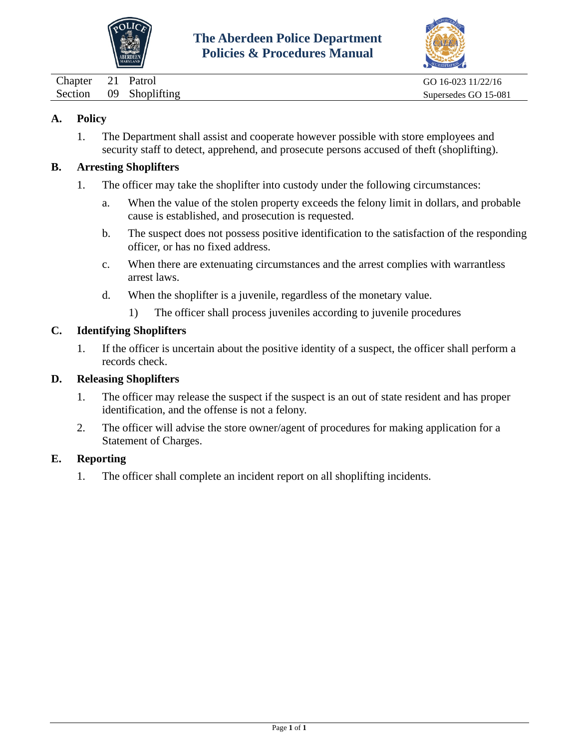



<span id="page-28-0"></span>Chapter 21 Patrol GO 16-023 11/22/16 Section 09 Shoplifting Supersedes GO 15-081

### **A. Policy**

1. The Department shall assist and cooperate however possible with store employees and security staff to detect, apprehend, and prosecute persons accused of theft (shoplifting).

#### **B. Arresting Shoplifters**

- 1. The officer may take the shoplifter into custody under the following circumstances:
	- a. When the value of the stolen property exceeds the felony limit in dollars, and probable cause is established, and prosecution is requested.
	- b. The suspect does not possess positive identification to the satisfaction of the responding officer, or has no fixed address.
	- c. When there are extenuating circumstances and the arrest complies with warrantless arrest laws.
	- d. When the shoplifter is a juvenile, regardless of the monetary value.
		- 1) The officer shall process juveniles according to juvenile procedures

### **C. Identifying Shoplifters**

1. If the officer is uncertain about the positive identity of a suspect, the officer shall perform a records check.

#### **D. Releasing Shoplifters**

- 1. The officer may release the suspect if the suspect is an out of state resident and has proper identification, and the offense is not a felony.
- 2. The officer will advise the store owner/agent of procedures for making application for a Statement of Charges.

### **E. Reporting**

1. The officer shall complete an incident report on all shoplifting incidents.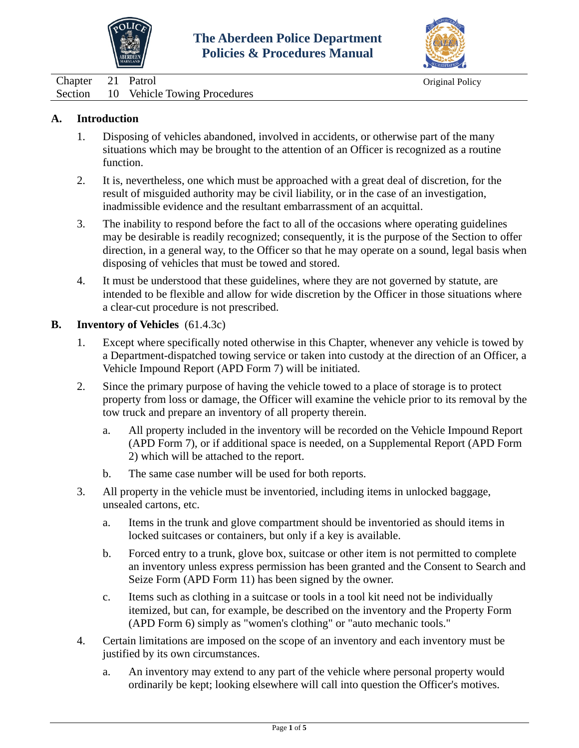



<span id="page-29-0"></span>Chapter 21 Patrol Original Policy Section 10 Vehicle Towing Procedures

### **A. Introduction**

- 1. Disposing of vehicles abandoned, involved in accidents, or otherwise part of the many situations which may be brought to the attention of an Officer is recognized as a routine function.
- 2. It is, nevertheless, one which must be approached with a great deal of discretion, for the result of misguided authority may be civil liability, or in the case of an investigation, inadmissible evidence and the resultant embarrassment of an acquittal.
- 3. The inability to respond before the fact to all of the occasions where operating guidelines may be desirable is readily recognized; consequently, it is the purpose of the Section to offer direction, in a general way, to the Officer so that he may operate on a sound, legal basis when disposing of vehicles that must be towed and stored.
- 4. It must be understood that these guidelines, where they are not governed by statute, are intended to be flexible and allow for wide discretion by the Officer in those situations where a clear-cut procedure is not prescribed.

#### **B. Inventory of Vehicles** (61.4.3c)

- 1. Except where specifically noted otherwise in this Chapter, whenever any vehicle is towed by a Department-dispatched towing service or taken into custody at the direction of an Officer, a Vehicle Impound Report (APD Form 7) will be initiated.
- 2. Since the primary purpose of having the vehicle towed to a place of storage is to protect property from loss or damage, the Officer will examine the vehicle prior to its removal by the tow truck and prepare an inventory of all property therein.
	- a. All property included in the inventory will be recorded on the Vehicle Impound Report (APD Form 7), or if additional space is needed, on a Supplemental Report (APD Form 2) which will be attached to the report.
	- b. The same case number will be used for both reports.
- 3. All property in the vehicle must be inventoried, including items in unlocked baggage, unsealed cartons, etc.
	- a. Items in the trunk and glove compartment should be inventoried as should items in locked suitcases or containers, but only if a key is available.
	- b. Forced entry to a trunk, glove box, suitcase or other item is not permitted to complete an inventory unless express permission has been granted and the Consent to Search and Seize Form (APD Form 11) has been signed by the owner.
	- c. Items such as clothing in a suitcase or tools in a tool kit need not be individually itemized, but can, for example, be described on the inventory and the Property Form (APD Form 6) simply as "women's clothing" or "auto mechanic tools."
- 4. Certain limitations are imposed on the scope of an inventory and each inventory must be justified by its own circumstances.
	- a. An inventory may extend to any part of the vehicle where personal property would ordinarily be kept; looking elsewhere will call into question the Officer's motives.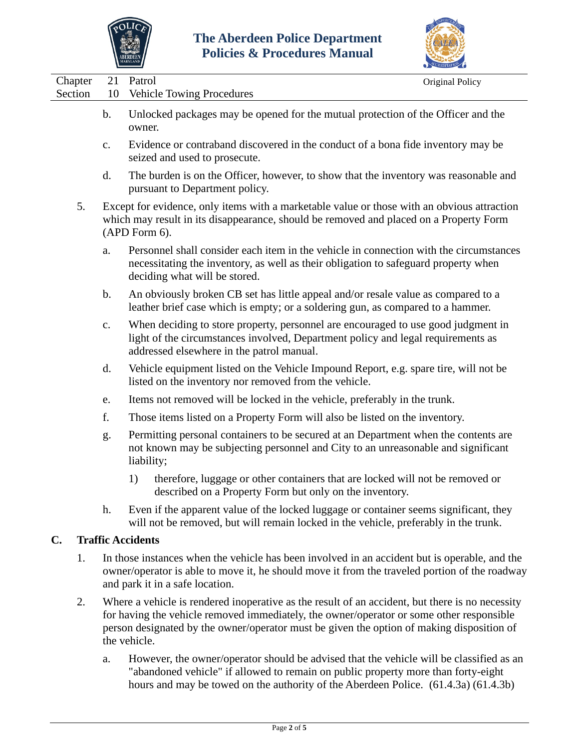

the vehicle.



| Chapter<br>Section | 21<br>10       | Patrol<br>Original Policy<br><b>Vehicle Towing Procedures</b>                                                                                                                                                                                                                            |
|--------------------|----------------|------------------------------------------------------------------------------------------------------------------------------------------------------------------------------------------------------------------------------------------------------------------------------------------|
|                    | $\mathbf{b}$ . | Unlocked packages may be opened for the mutual protection of the Officer and the<br>owner.                                                                                                                                                                                               |
|                    | $\mathbf{c}$ . | Evidence or contraband discovered in the conduct of a bona fide inventory may be<br>seized and used to prosecute.                                                                                                                                                                        |
|                    | d.             | The burden is on the Officer, however, to show that the inventory was reasonable and<br>pursuant to Department policy.                                                                                                                                                                   |
| 5.                 |                | Except for evidence, only items with a marketable value or those with an obvious attraction<br>which may result in its disappearance, should be removed and placed on a Property Form<br>(APD Form 6).                                                                                   |
|                    | a.             | Personnel shall consider each item in the vehicle in connection with the circumstances<br>necessitating the inventory, as well as their obligation to safeguard property when<br>deciding what will be stored.                                                                           |
|                    | $\mathbf b$ .  | An obviously broken CB set has little appeal and/or resale value as compared to a<br>leather brief case which is empty; or a soldering gun, as compared to a hammer.                                                                                                                     |
|                    | $\mathbf{c}$ . | When deciding to store property, personnel are encouraged to use good judgment in<br>light of the circumstances involved, Department policy and legal requirements as<br>addressed elsewhere in the patrol manual.                                                                       |
|                    | d.             | Vehicle equipment listed on the Vehicle Impound Report, e.g. spare tire, will not be<br>listed on the inventory nor removed from the vehicle.                                                                                                                                            |
|                    | e.             | Items not removed will be locked in the vehicle, preferably in the trunk.                                                                                                                                                                                                                |
|                    | f.             | Those items listed on a Property Form will also be listed on the inventory.                                                                                                                                                                                                              |
|                    | g.             | Permitting personal containers to be secured at an Department when the contents are<br>not known may be subjecting personnel and City to an unreasonable and significant<br>liability;                                                                                                   |
|                    |                | therefore, luggage or other containers that are locked will not be removed or<br>1)<br>described on a Property Form but only on the inventory.                                                                                                                                           |
|                    | h.             | Even if the apparent value of the locked luggage or container seems significant, they<br>will not be removed, but will remain locked in the vehicle, preferably in the trunk.                                                                                                            |
| C.                 |                | <b>Traffic Accidents</b>                                                                                                                                                                                                                                                                 |
| 1.                 |                | In those instances when the vehicle has been involved in an accident but is operable, and the<br>owner/operator is able to move it, he should move it from the traveled portion of the roadway<br>and park it in a safe location.                                                        |
| 2.                 |                | Where a vehicle is rendered inoperative as the result of an accident, but there is no necessity<br>for having the vehicle removed immediately, the owner/operator or some other responsible<br>person designated by the owner/operator must be given the option of making disposition of |

a. However, the owner/operator should be advised that the vehicle will be classified as an "abandoned vehicle" if allowed to remain on public property more than forty-eight hours and may be towed on the authority of the Aberdeen Police. (61.4.3a) (61.4.3b)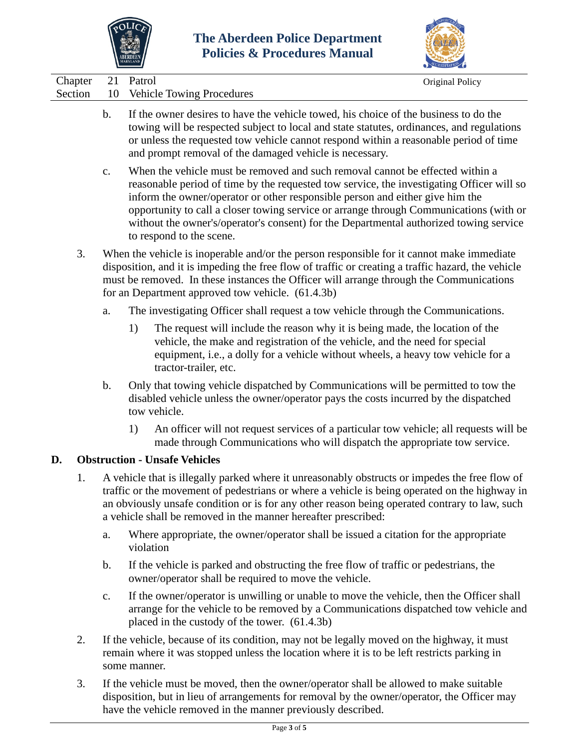



Chapter 21 Patrol Original Policy

| $C_{\text{Hubble}}$ | $\epsilon$ 1 au $\sigma$             |
|---------------------|--------------------------------------|
|                     | Section 10 Vehicle Towing Procedures |

- b. If the owner desires to have the vehicle towed, his choice of the business to do the towing will be respected subject to local and state statutes, ordinances, and regulations or unless the requested tow vehicle cannot respond within a reasonable period of time and prompt removal of the damaged vehicle is necessary.
- c. When the vehicle must be removed and such removal cannot be effected within a reasonable period of time by the requested tow service, the investigating Officer will so inform the owner/operator or other responsible person and either give him the opportunity to call a closer towing service or arrange through Communications (with or without the owner's/operator's consent) for the Departmental authorized towing service to respond to the scene.
- 3. When the vehicle is inoperable and/or the person responsible for it cannot make immediate disposition, and it is impeding the free flow of traffic or creating a traffic hazard, the vehicle must be removed. In these instances the Officer will arrange through the Communications for an Department approved tow vehicle. (61.4.3b)
	- a. The investigating Officer shall request a tow vehicle through the Communications.
		- 1) The request will include the reason why it is being made, the location of the vehicle, the make and registration of the vehicle, and the need for special equipment, i.e., a dolly for a vehicle without wheels, a heavy tow vehicle for a tractor-trailer, etc.
	- b. Only that towing vehicle dispatched by Communications will be permitted to tow the disabled vehicle unless the owner/operator pays the costs incurred by the dispatched tow vehicle.
		- 1) An officer will not request services of a particular tow vehicle; all requests will be made through Communications who will dispatch the appropriate tow service.

## **D. Obstruction - Unsafe Vehicles**

- 1. A vehicle that is illegally parked where it unreasonably obstructs or impedes the free flow of traffic or the movement of pedestrians or where a vehicle is being operated on the highway in an obviously unsafe condition or is for any other reason being operated contrary to law, such a vehicle shall be removed in the manner hereafter prescribed:
	- a. Where appropriate, the owner/operator shall be issued a citation for the appropriate violation
	- b. If the vehicle is parked and obstructing the free flow of traffic or pedestrians, the owner/operator shall be required to move the vehicle.
	- c. If the owner/operator is unwilling or unable to move the vehicle, then the Officer shall arrange for the vehicle to be removed by a Communications dispatched tow vehicle and placed in the custody of the tower. (61.4.3b)
- 2. If the vehicle, because of its condition, may not be legally moved on the highway, it must remain where it was stopped unless the location where it is to be left restricts parking in some manner.
- 3. If the vehicle must be moved, then the owner/operator shall be allowed to make suitable disposition, but in lieu of arrangements for removal by the owner/operator, the Officer may have the vehicle removed in the manner previously described.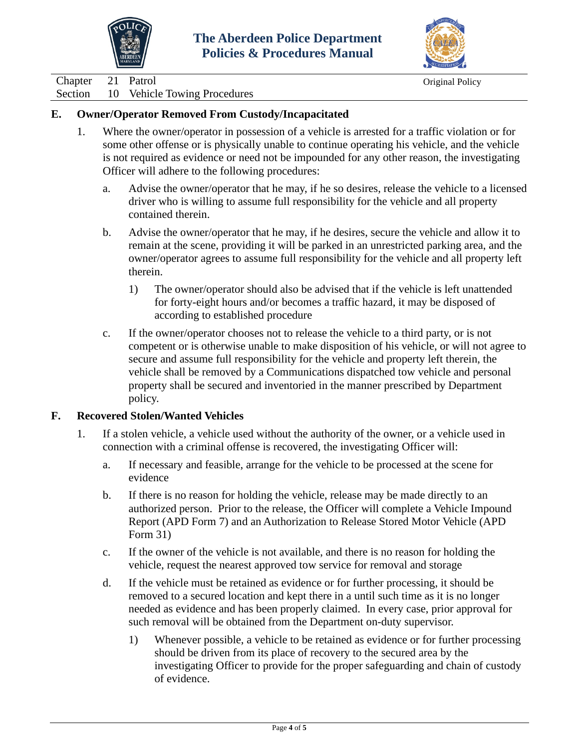



Chapter 21 Patrol Original Policy

Section 10 Vehicle Towing Procedures

### **E. Owner/Operator Removed From Custody/Incapacitated**

- 1. Where the owner/operator in possession of a vehicle is arrested for a traffic violation or for some other offense or is physically unable to continue operating his vehicle, and the vehicle is not required as evidence or need not be impounded for any other reason, the investigating Officer will adhere to the following procedures:
	- a. Advise the owner/operator that he may, if he so desires, release the vehicle to a licensed driver who is willing to assume full responsibility for the vehicle and all property contained therein.
	- b. Advise the owner/operator that he may, if he desires, secure the vehicle and allow it to remain at the scene, providing it will be parked in an unrestricted parking area, and the owner/operator agrees to assume full responsibility for the vehicle and all property left therein.
		- 1) The owner/operator should also be advised that if the vehicle is left unattended for forty-eight hours and/or becomes a traffic hazard, it may be disposed of according to established procedure
	- c. If the owner/operator chooses not to release the vehicle to a third party, or is not competent or is otherwise unable to make disposition of his vehicle, or will not agree to secure and assume full responsibility for the vehicle and property left therein, the vehicle shall be removed by a Communications dispatched tow vehicle and personal property shall be secured and inventoried in the manner prescribed by Department policy.

### **F. Recovered Stolen/Wanted Vehicles**

- 1. If a stolen vehicle, a vehicle used without the authority of the owner, or a vehicle used in connection with a criminal offense is recovered, the investigating Officer will:
	- a. If necessary and feasible, arrange for the vehicle to be processed at the scene for evidence
	- b. If there is no reason for holding the vehicle, release may be made directly to an authorized person. Prior to the release, the Officer will complete a Vehicle Impound Report (APD Form 7) and an Authorization to Release Stored Motor Vehicle (APD Form 31)
	- c. If the owner of the vehicle is not available, and there is no reason for holding the vehicle, request the nearest approved tow service for removal and storage
	- d. If the vehicle must be retained as evidence or for further processing, it should be removed to a secured location and kept there in a until such time as it is no longer needed as evidence and has been properly claimed. In every case, prior approval for such removal will be obtained from the Department on-duty supervisor.
		- 1) Whenever possible, a vehicle to be retained as evidence or for further processing should be driven from its place of recovery to the secured area by the investigating Officer to provide for the proper safeguarding and chain of custody of evidence.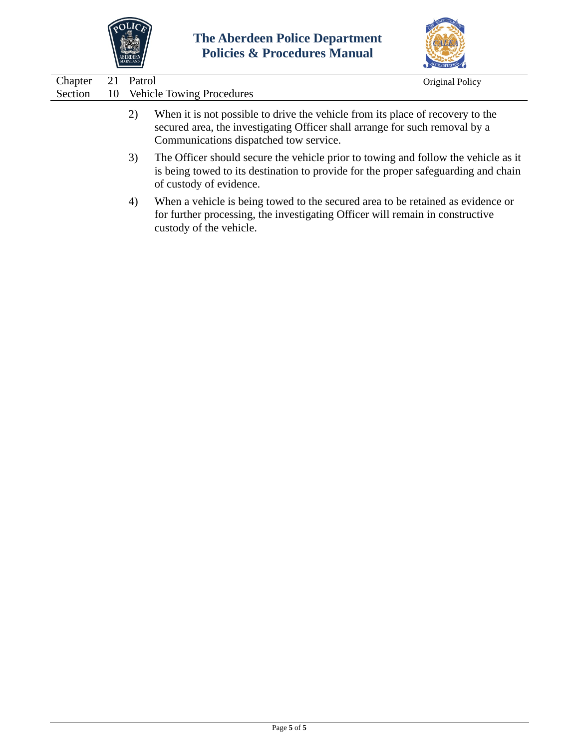



| Chapter |    | Patrol | Original Policy                                                                                                                                                                                         |
|---------|----|--------|---------------------------------------------------------------------------------------------------------------------------------------------------------------------------------------------------------|
| Section | 10 |        | <b>Vehicle Towing Procedures</b>                                                                                                                                                                        |
|         |    | 2)     | When it is not possible to drive the vehicle from its place of recovery to the<br>secured area, the investigating Officer shall arrange for such removal by a<br>Communications dispatched tow service. |
|         |    | 3)     | The Officer should secure the vehicle prior to towing and follow the vehicle as it<br>is being towed to its destination to provide for the proper safeguarding and chain<br>of custody of evidence.     |
|         |    | 4)     | When a vehicle is being towed to the secured area to be retained as evidence or<br>for further processing, the investigating Officer will remain in constructive<br>custody of the vehicle.             |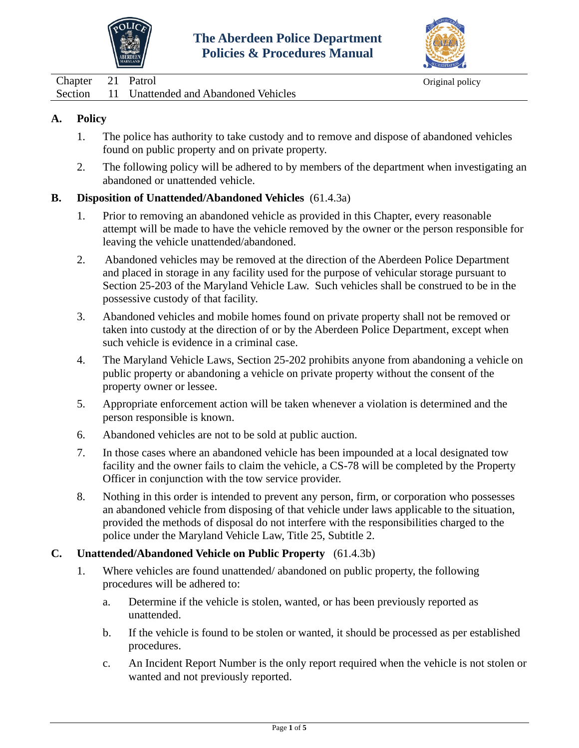



<span id="page-34-0"></span>

| Chapter 21 Patrol |                                              | Original policy |
|-------------------|----------------------------------------------|-----------------|
|                   | Section 11 Unattended and Abandoned Vehicles |                 |

- 1. The police has authority to take custody and to remove and dispose of abandoned vehicles found on public property and on private property.
- 2. The following policy will be adhered to by members of the department when investigating an abandoned or unattended vehicle.

### **B. Disposition of Unattended/Abandoned Vehicles** (61.4.3a)

- 1. Prior to removing an abandoned vehicle as provided in this Chapter, every reasonable attempt will be made to have the vehicle removed by the owner or the person responsible for leaving the vehicle unattended/abandoned.
- 2. Abandoned vehicles may be removed at the direction of the Aberdeen Police Department and placed in storage in any facility used for the purpose of vehicular storage pursuant to Section 25-203 of the Maryland Vehicle Law. Such vehicles shall be construed to be in the possessive custody of that facility.
- 3. Abandoned vehicles and mobile homes found on private property shall not be removed or taken into custody at the direction of or by the Aberdeen Police Department, except when such vehicle is evidence in a criminal case.
- 4. The Maryland Vehicle Laws, Section 25-202 prohibits anyone from abandoning a vehicle on public property or abandoning a vehicle on private property without the consent of the property owner or lessee.
- 5. Appropriate enforcement action will be taken whenever a violation is determined and the person responsible is known.
- 6. Abandoned vehicles are not to be sold at public auction.
- 7. In those cases where an abandoned vehicle has been impounded at a local designated tow facility and the owner fails to claim the vehicle, a CS-78 will be completed by the Property Officer in conjunction with the tow service provider.
- 8. Nothing in this order is intended to prevent any person, firm, or corporation who possesses an abandoned vehicle from disposing of that vehicle under laws applicable to the situation, provided the methods of disposal do not interfere with the responsibilities charged to the police under the Maryland Vehicle Law, Title 25, Subtitle 2.

### **C. Unattended/Abandoned Vehicle on Public Property** (61.4.3b)

- 1. Where vehicles are found unattended/ abandoned on public property, the following procedures will be adhered to:
	- a. Determine if the vehicle is stolen, wanted, or has been previously reported as unattended.
	- b. If the vehicle is found to be stolen or wanted, it should be processed as per established procedures.
	- c. An Incident Report Number is the only report required when the vehicle is not stolen or wanted and not previously reported.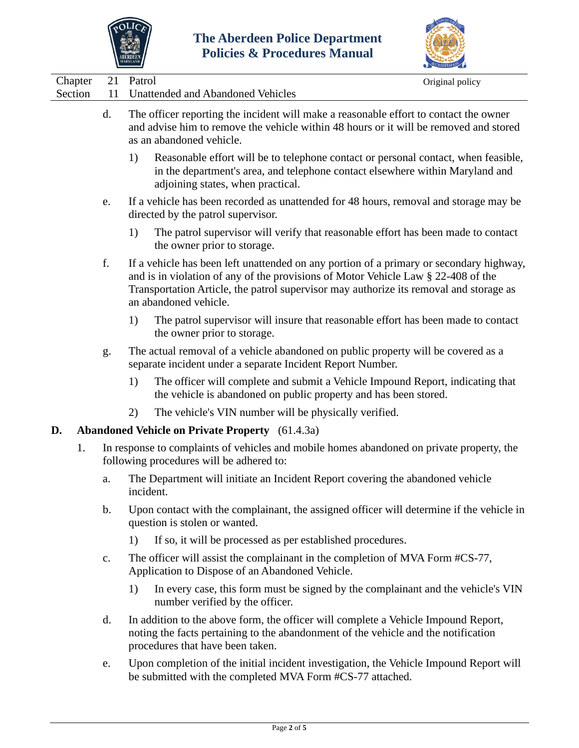



| Chapter | 21            | Patrol<br>Original policy                                                                                                                                                                                                                                                                       |  |
|---------|---------------|-------------------------------------------------------------------------------------------------------------------------------------------------------------------------------------------------------------------------------------------------------------------------------------------------|--|
| Section | 11            | Unattended and Abandoned Vehicles                                                                                                                                                                                                                                                               |  |
|         | d.            | The officer reporting the incident will make a reasonable effort to contact the owner<br>and advise him to remove the vehicle within 48 hours or it will be removed and stored<br>as an abandoned vehicle.                                                                                      |  |
|         |               | 1)<br>Reasonable effort will be to telephone contact or personal contact, when feasible,<br>in the department's area, and telephone contact elsewhere within Maryland and<br>adjoining states, when practical.                                                                                  |  |
|         | e.            | If a vehicle has been recorded as unattended for 48 hours, removal and storage may be<br>directed by the patrol supervisor.                                                                                                                                                                     |  |
|         |               | The patrol supervisor will verify that reasonable effort has been made to contact<br>1)<br>the owner prior to storage.                                                                                                                                                                          |  |
|         | f.            | If a vehicle has been left unattended on any portion of a primary or secondary highway,<br>and is in violation of any of the provisions of Motor Vehicle Law § 22-408 of the<br>Transportation Article, the patrol supervisor may authorize its removal and storage as<br>an abandoned vehicle. |  |
|         |               | The patrol supervisor will insure that reasonable effort has been made to contact<br>1)<br>the owner prior to storage.                                                                                                                                                                          |  |
|         | g.            | The actual removal of a vehicle abandoned on public property will be covered as a<br>separate incident under a separate Incident Report Number.                                                                                                                                                 |  |
|         |               | The officer will complete and submit a Vehicle Impound Report, indicating that<br>1)<br>the vehicle is abandoned on public property and has been stored.                                                                                                                                        |  |
|         |               | The vehicle's VIN number will be physically verified.<br>2)                                                                                                                                                                                                                                     |  |
| D.      |               | <b>Abandoned Vehicle on Private Property</b> (61.4.3a)                                                                                                                                                                                                                                          |  |
| 1.      |               | In response to complaints of vehicles and mobile homes abandoned on private property, the<br>following procedures will be adhered to:                                                                                                                                                           |  |
|         | a.            | The Department will initiate an Incident Report covering the abandoned vehicle<br>incident.                                                                                                                                                                                                     |  |
|         | $\mathbf b$ . | Upon contact with the complainant, the assigned officer will determine if the vehicle in<br>question is stolen or wanted.                                                                                                                                                                       |  |
|         |               | If so, it will be processed as per established procedures.<br>1)                                                                                                                                                                                                                                |  |
|         | c.            | The officer will assist the complainant in the completion of MVA Form #CS-77,<br>Application to Dispose of an Abandoned Vehicle.                                                                                                                                                                |  |
|         |               | In every case, this form must be signed by the complainant and the vehicle's VIN<br>1)<br>number verified by the officer.                                                                                                                                                                       |  |
|         | d.            | In addition to the above form, the officer will complete a Vehicle Impound Report,<br>noting the facts pertaining to the abandonment of the vehicle and the notification<br>procedures that have been taken.                                                                                    |  |
|         | e.            | Upon completion of the initial incident investigation, the Vehicle Impound Report will<br>be submitted with the completed MVA Form #CS-77 attached.                                                                                                                                             |  |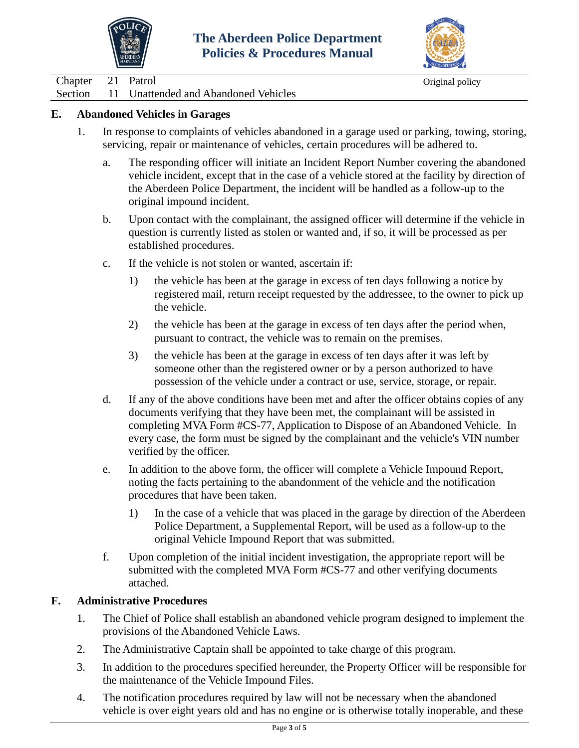



Chapter 21 Patrol Original policy

Section 11 Unattended and Abandoned Vehicles

### **E. Abandoned Vehicles in Garages**

- 1. In response to complaints of vehicles abandoned in a garage used or parking, towing, storing, servicing, repair or maintenance of vehicles, certain procedures will be adhered to.
	- a. The responding officer will initiate an Incident Report Number covering the abandoned vehicle incident, except that in the case of a vehicle stored at the facility by direction of the Aberdeen Police Department, the incident will be handled as a follow-up to the original impound incident.
	- b. Upon contact with the complainant, the assigned officer will determine if the vehicle in question is currently listed as stolen or wanted and, if so, it will be processed as per established procedures.
	- c. If the vehicle is not stolen or wanted, ascertain if:
		- 1) the vehicle has been at the garage in excess of ten days following a notice by registered mail, return receipt requested by the addressee, to the owner to pick up the vehicle.
		- 2) the vehicle has been at the garage in excess of ten days after the period when, pursuant to contract, the vehicle was to remain on the premises.
		- 3) the vehicle has been at the garage in excess of ten days after it was left by someone other than the registered owner or by a person authorized to have possession of the vehicle under a contract or use, service, storage, or repair.
	- d. If any of the above conditions have been met and after the officer obtains copies of any documents verifying that they have been met, the complainant will be assisted in completing MVA Form #CS-77, Application to Dispose of an Abandoned Vehicle. In every case, the form must be signed by the complainant and the vehicle's VIN number verified by the officer.
	- e. In addition to the above form, the officer will complete a Vehicle Impound Report, noting the facts pertaining to the abandonment of the vehicle and the notification procedures that have been taken.
		- 1) In the case of a vehicle that was placed in the garage by direction of the Aberdeen Police Department, a Supplemental Report, will be used as a follow-up to the original Vehicle Impound Report that was submitted.
	- f. Upon completion of the initial incident investigation, the appropriate report will be submitted with the completed MVA Form #CS-77 and other verifying documents attached.

### **F. Administrative Procedures**

- 1. The Chief of Police shall establish an abandoned vehicle program designed to implement the provisions of the Abandoned Vehicle Laws.
- 2. The Administrative Captain shall be appointed to take charge of this program.
- 3. In addition to the procedures specified hereunder, the Property Officer will be responsible for the maintenance of the Vehicle Impound Files.
- 4. The notification procedures required by law will not be necessary when the abandoned vehicle is over eight years old and has no engine or is otherwise totally inoperable, and these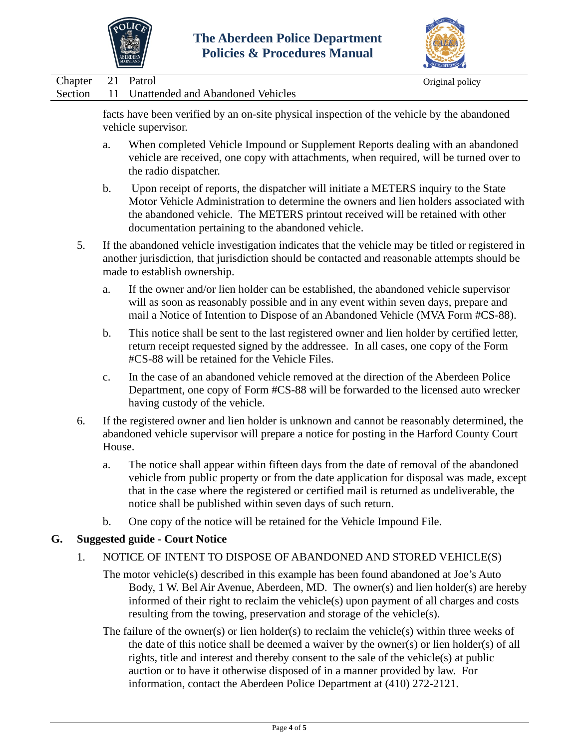



Chapter 21 Patrol Original policy Section 11 Unattended and Abandoned Vehicles

> facts have been verified by an on-site physical inspection of the vehicle by the abandoned vehicle supervisor.

- a. When completed Vehicle Impound or Supplement Reports dealing with an abandoned vehicle are received, one copy with attachments, when required, will be turned over to the radio dispatcher.
- b. Upon receipt of reports, the dispatcher will initiate a METERS inquiry to the State Motor Vehicle Administration to determine the owners and lien holders associated with the abandoned vehicle. The METERS printout received will be retained with other documentation pertaining to the abandoned vehicle.
- 5. If the abandoned vehicle investigation indicates that the vehicle may be titled or registered in another jurisdiction, that jurisdiction should be contacted and reasonable attempts should be made to establish ownership.
	- a. If the owner and/or lien holder can be established, the abandoned vehicle supervisor will as soon as reasonably possible and in any event within seven days, prepare and mail a Notice of Intention to Dispose of an Abandoned Vehicle (MVA Form #CS-88).
	- b. This notice shall be sent to the last registered owner and lien holder by certified letter, return receipt requested signed by the addressee. In all cases, one copy of the Form #CS-88 will be retained for the Vehicle Files.
	- c. In the case of an abandoned vehicle removed at the direction of the Aberdeen Police Department, one copy of Form #CS-88 will be forwarded to the licensed auto wrecker having custody of the vehicle.
- 6. If the registered owner and lien holder is unknown and cannot be reasonably determined, the abandoned vehicle supervisor will prepare a notice for posting in the Harford County Court House.
	- a. The notice shall appear within fifteen days from the date of removal of the abandoned vehicle from public property or from the date application for disposal was made, except that in the case where the registered or certified mail is returned as undeliverable, the notice shall be published within seven days of such return.
	- b. One copy of the notice will be retained for the Vehicle Impound File.

## **G. Suggested guide - Court Notice**

- 1. NOTICE OF INTENT TO DISPOSE OF ABANDONED AND STORED VEHICLE(S)
	- The motor vehicle(s) described in this example has been found abandoned at Joe's Auto Body, 1 W. Bel Air Avenue, Aberdeen, MD. The owner(s) and lien holder(s) are hereby informed of their right to reclaim the vehicle(s) upon payment of all charges and costs resulting from the towing, preservation and storage of the vehicle(s).
	- The failure of the owner(s) or lien holder(s) to reclaim the vehicle(s) within three weeks of the date of this notice shall be deemed a waiver by the owner(s) or lien holder(s) of all rights, title and interest and thereby consent to the sale of the vehicle(s) at public auction or to have it otherwise disposed of in a manner provided by law. For information, contact the Aberdeen Police Department at (410) 272-2121.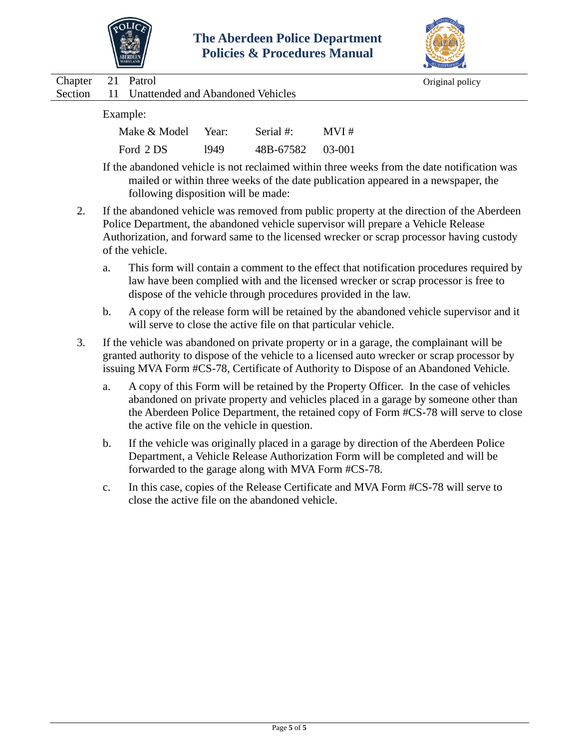



|         |    |                                   |       |              | $\blacksquare$                                                                                                                                                                   |
|---------|----|-----------------------------------|-------|--------------|----------------------------------------------------------------------------------------------------------------------------------------------------------------------------------|
| Chapter | 21 | Patrol                            |       |              | Original policy                                                                                                                                                                  |
| Section |    | Unattended and Abandoned Vehicles |       |              |                                                                                                                                                                                  |
|         |    | Example:                          |       |              |                                                                                                                                                                                  |
|         |    | Make & Model                      | Year: | Serial $#$ : | MVI#                                                                                                                                                                             |
|         |    | Ford 2 DS                         | 1949  | 48B-67582    | 03-001                                                                                                                                                                           |
|         |    |                                   |       |              | If the abandoned vehicle is not reclaimed within three weeks from the date notification was<br>mailed or within three weeks of the date publication appeared in a newspaper, the |

following disposition will be made:

- 2. If the abandoned vehicle was removed from public property at the direction of the Aberdeen Police Department, the abandoned vehicle supervisor will prepare a Vehicle Release Authorization, and forward same to the licensed wrecker or scrap processor having custody of the vehicle.
	- a. This form will contain a comment to the effect that notification procedures required by law have been complied with and the licensed wrecker or scrap processor is free to dispose of the vehicle through procedures provided in the law.
	- b. A copy of the release form will be retained by the abandoned vehicle supervisor and it will serve to close the active file on that particular vehicle.
- 3. If the vehicle was abandoned on private property or in a garage, the complainant will be granted authority to dispose of the vehicle to a licensed auto wrecker or scrap processor by issuing MVA Form #CS-78, Certificate of Authority to Dispose of an Abandoned Vehicle.
	- a. A copy of this Form will be retained by the Property Officer. In the case of vehicles abandoned on private property and vehicles placed in a garage by someone other than the Aberdeen Police Department, the retained copy of Form #CS-78 will serve to close the active file on the vehicle in question.
	- b. If the vehicle was originally placed in a garage by direction of the Aberdeen Police Department, a Vehicle Release Authorization Form will be completed and will be forwarded to the garage along with MVA Form #CS-78.
	- c. In this case, copies of the Release Certificate and MVA Form #CS-78 will serve to close the active file on the abandoned vehicle.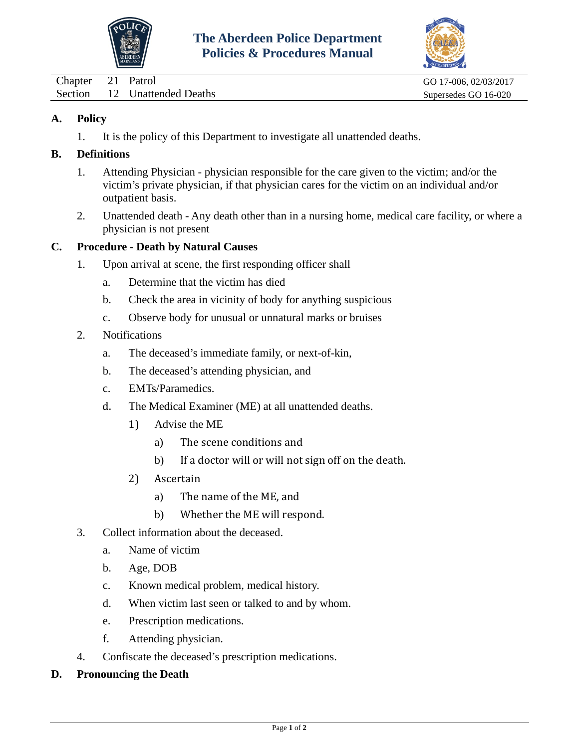



<span id="page-39-0"></span>Chapter 21 Patrol GO 17-006, 02/03/2017 Section 12 Unattended Deaths Supersedes GO 16-020

## **A. Policy**

1. It is the policy of this Department to investigate all unattended deaths.

### **B. Definitions**

- 1. Attending Physician physician responsible for the care given to the victim; and/or the victim's private physician, if that physician cares for the victim on an individual and/or outpatient basis.
- 2. Unattended death Any death other than in a nursing home, medical care facility, or where a physician is not present

### **C. Procedure - Death by Natural Causes**

- 1. Upon arrival at scene, the first responding officer shall
	- a. Determine that the victim has died
	- b. Check the area in vicinity of body for anything suspicious
	- c. Observe body for unusual or unnatural marks or bruises
- 2. Notifications
	- a. The deceased's immediate family, or next-of-kin,
	- b. The deceased's attending physician, and
	- c. EMTs/Paramedics.
	- d. The Medical Examiner (ME) at all unattended deaths.
		- 1) Advise the ME
			- a) The scene conditions and
			- b) If a doctor will or will not sign off on the death.
		- 2) Ascertain
			- a) The name of the ME, and
			- b) Whether the ME will respond.
- 3. Collect information about the deceased.
	- a. Name of victim
	- b. Age, DOB
	- c. Known medical problem, medical history.
	- d. When victim last seen or talked to and by whom.
	- e. Prescription medications.
	- f. Attending physician.
- 4. Confiscate the deceased's prescription medications.

### **D. Pronouncing the Death**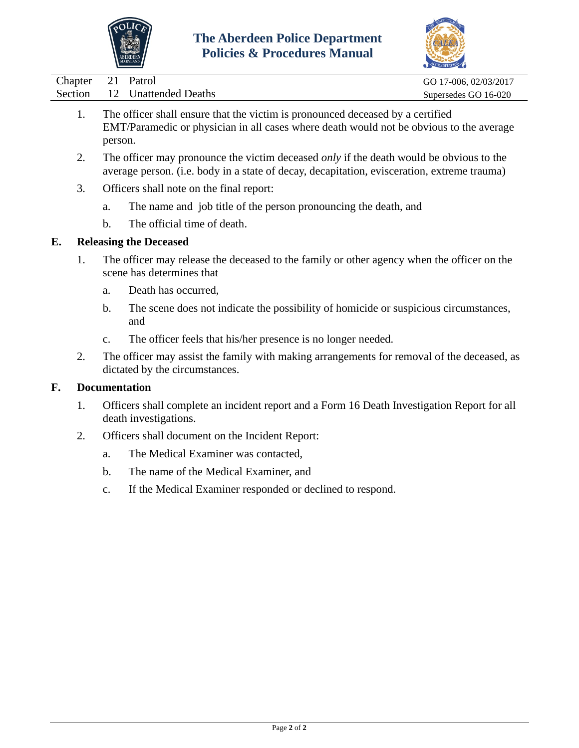



|         |         |                                                                                                                                                                                               | $\sim$                |
|---------|---------|-----------------------------------------------------------------------------------------------------------------------------------------------------------------------------------------------|-----------------------|
| Chapter | 21      | Patrol                                                                                                                                                                                        | GO 17-006, 02/03/2017 |
| Section | 12      | <b>Unattended Deaths</b>                                                                                                                                                                      | Supersedes GO 16-020  |
| 1.      |         | The officer shall ensure that the victim is pronounced deceased by a certified<br>EMT/Paramedic or physician in all cases where death would not be obvious to the average                     |                       |
|         | person. |                                                                                                                                                                                               |                       |
| 2.      |         | The officer may pronounce the victim deceased <i>only</i> if the death would be obvious to the<br>average person. (i.e. body in a state of decay, decapitation, evisceration, extreme trauma) |                       |
| 3.      |         | Officers shall note on the final report:                                                                                                                                                      |                       |
|         | a.      | The name and job title of the person pronouncing the death, and                                                                                                                               |                       |
|         | b.      | The official time of death.                                                                                                                                                                   |                       |
| E.      |         | <b>Releasing the Deceased</b>                                                                                                                                                                 |                       |
| 1.      |         | The officer may release the deceased to the family or other agency when the officer on the<br>scene has determines that                                                                       |                       |
|         | a.      | Death has occurred,                                                                                                                                                                           |                       |
|         |         |                                                                                                                                                                                               |                       |

- b. The scene does not indicate the possibility of homicide or suspicious circumstances, and
- c. The officer feels that his/her presence is no longer needed.
- 2. The officer may assist the family with making arrangements for removal of the deceased, as dictated by the circumstances.

### **F. Documentation**

- 1. Officers shall complete an incident report and a Form 16 Death Investigation Report for all death investigations.
- 2. Officers shall document on the Incident Report:
	- a. The Medical Examiner was contacted,
	- b. The name of the Medical Examiner, and
	- c. If the Medical Examiner responded or declined to respond.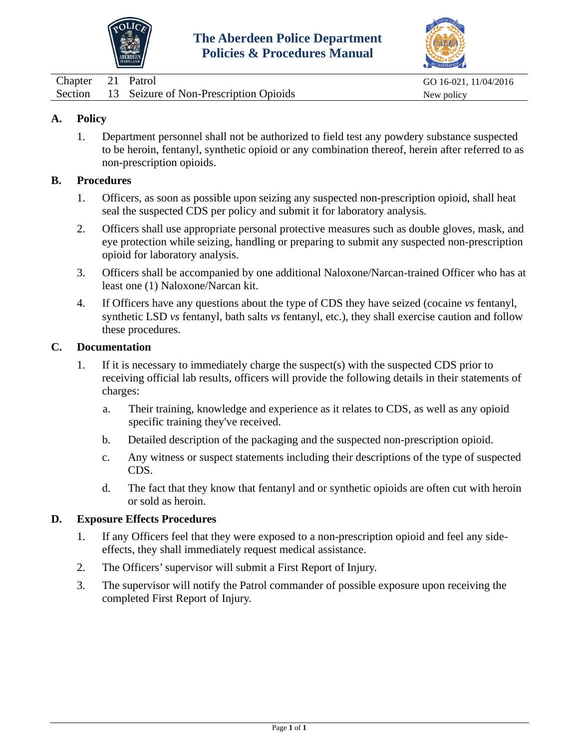



<span id="page-41-0"></span>

| Chapter 21 Patrol |                                                | GO 16-021, 11/04/2016 |
|-------------------|------------------------------------------------|-----------------------|
|                   | Section 13 Seizure of Non-Prescription Opioids | New policy            |

1. Department personnel shall not be authorized to field test any powdery substance suspected to be heroin, fentanyl, synthetic opioid or any combination thereof, herein after referred to as non-prescription opioids.

#### **B. Procedures**

- 1. Officers, as soon as possible upon seizing any suspected non-prescription opioid, shall heat seal the suspected CDS per policy and submit it for laboratory analysis.
- 2. Officers shall use appropriate personal protective measures such as double gloves, mask, and eye protection while seizing, handling or preparing to submit any suspected non-prescription opioid for laboratory analysis.
- 3. Officers shall be accompanied by one additional Naloxone/Narcan-trained Officer who has at least one (1) Naloxone/Narcan kit.
- 4. If Officers have any questions about the type of CDS they have seized (cocaine *vs* fentanyl, synthetic LSD *vs* fentanyl, bath salts *vs* fentanyl, etc.), they shall exercise caution and follow these procedures.

#### **C. Documentation**

- 1. If it is necessary to immediately charge the suspect(s) with the suspected CDS prior to receiving official lab results, officers will provide the following details in their statements of charges:
	- a. Their training, knowledge and experience as it relates to CDS, as well as any opioid specific training they've received.
	- b. Detailed description of the packaging and the suspected non-prescription opioid.
	- c. Any witness or suspect statements including their descriptions of the type of suspected CDS.
	- d. The fact that they know that fentanyl and or synthetic opioids are often cut with heroin or sold as heroin.

#### **D. Exposure Effects Procedures**

- 1. If any Officers feel that they were exposed to a non-prescription opioid and feel any sideeffects, they shall immediately request medical assistance.
- 2. The Officers'supervisor will submit a First Report of Injury.
- 3. The supervisor will notify the Patrol commander of possible exposure upon receiving the completed First Report of Injury.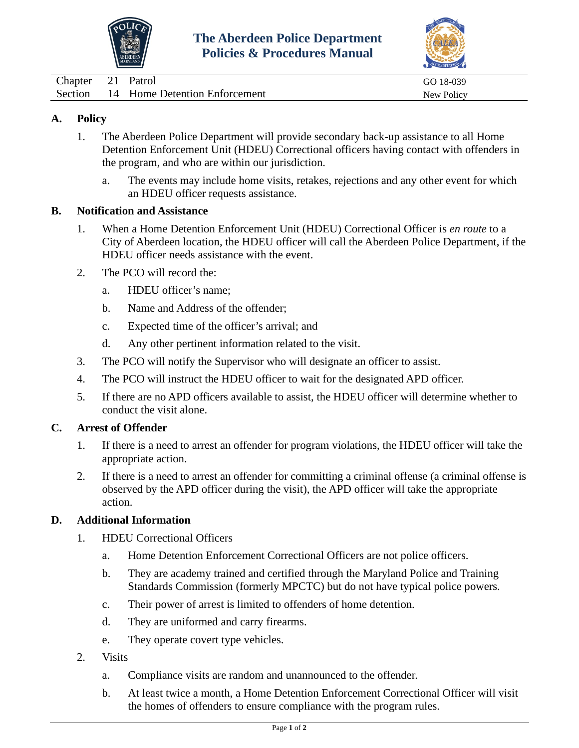



<span id="page-42-0"></span>

| Chapter 21 | Patrol                                | GO 18-039  |
|------------|---------------------------------------|------------|
|            | Section 14 Home Detention Enforcement | New Policy |

- 1. The Aberdeen Police Department will provide secondary back-up assistance to all Home Detention Enforcement Unit (HDEU) Correctional officers having contact with offenders in the program, and who are within our jurisdiction.
	- a. The events may include home visits, retakes, rejections and any other event for which an HDEU officer requests assistance.

#### **B. Notification and Assistance**

- 1. When a Home Detention Enforcement Unit (HDEU) Correctional Officer is *en route* to a City of Aberdeen location, the HDEU officer will call the Aberdeen Police Department, if the HDEU officer needs assistance with the event.
- 2. The PCO will record the:
	- a. HDEU officer's name;
	- b. Name and Address of the offender;
	- c. Expected time of the officer's arrival; and
	- d. Any other pertinent information related to the visit.
- 3. The PCO will notify the Supervisor who will designate an officer to assist.
- 4. The PCO will instruct the HDEU officer to wait for the designated APD officer.
- 5. If there are no APD officers available to assist, the HDEU officer will determine whether to conduct the visit alone.

### **C. Arrest of Offender**

- 1. If there is a need to arrest an offender for program violations, the HDEU officer will take the appropriate action.
- 2. If there is a need to arrest an offender for committing a criminal offense (a criminal offense is observed by the APD officer during the visit), the APD officer will take the appropriate action.

### **D. Additional Information**

- 1. HDEU Correctional Officers
	- a. Home Detention Enforcement Correctional Officers are not police officers.
	- b. They are academy trained and certified through the Maryland Police and Training Standards Commission (formerly MPCTC) but do not have typical police powers.
	- c. Their power of arrest is limited to offenders of home detention.
	- d. They are uniformed and carry firearms.
	- e. They operate covert type vehicles.
- 2. Visits
	- a. Compliance visits are random and unannounced to the offender.
	- b. At least twice a month, a Home Detention Enforcement Correctional Officer will visit the homes of offenders to ensure compliance with the program rules.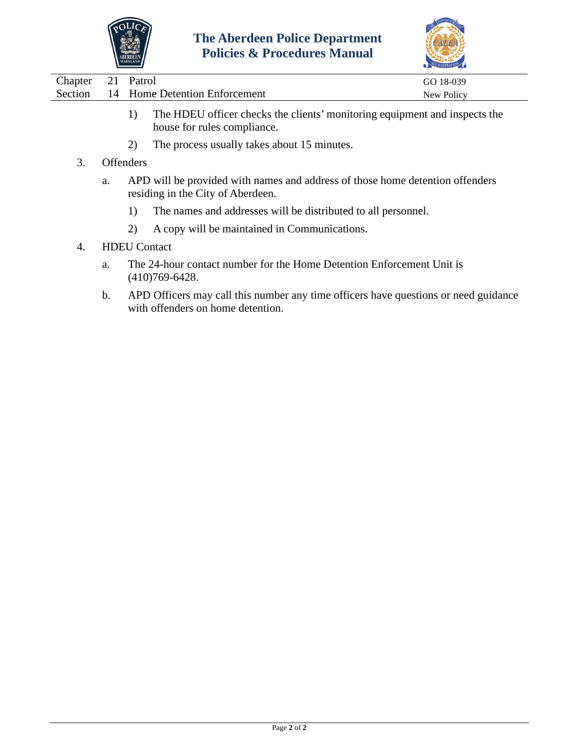



| Chapter | 21 | Patrol                        | GO 18-039  |
|---------|----|-------------------------------|------------|
| Section |    | 14 Home Detention Enforcement | New Policy |
|         |    |                               |            |

- 1) The HDEU officer checks the clients' monitoring equipment and inspects the house for rules compliance.
- 2) The process usually takes about 15 minutes.
- 3. Offenders
	- a. APD will be provided with names and address of those home detention offenders residing in the City of Aberdeen.
		- 1) The names and addresses will be distributed to all personnel.
		- 2) A copy will be maintained in Communications.
- 4. HDEU Contact
	- a. The 24-hour contact number for the Home Detention Enforcement Unit is (410)769-6428.
	- b. APD Officers may call this number any time officers have questions or need guidance with offenders on home detention.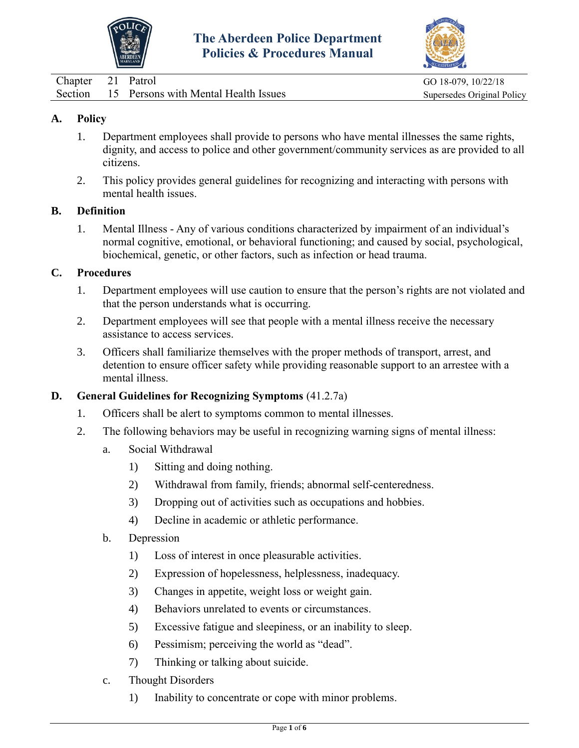



<span id="page-44-0"></span>

| Chapter 21 Patrol |                                              | GO 18-079, 10/22/18        |
|-------------------|----------------------------------------------|----------------------------|
|                   | Section 15 Persons with Mental Health Issues | Supersedes Original Policy |

- 1. Department employees shall provide to persons who have mental illnesses the same rights, dignity, and access to police and other government/community services as are provided to all citizens.
- 2. This policy provides general guidelines for recognizing and interacting with persons with mental health issues.

#### **B. Definition**

1. Mental Illness - Any of various conditions characterized by impairment of an individual's normal cognitive, emotional, or behavioral functioning; and caused by social, psychological, biochemical, genetic, or other factors, such as infection or head trauma.

#### **C. Procedures**

- 1. Department employees will use caution to ensure that the person's rights are not violated and that the person understands what is occurring.
- 2. Department employees will see that people with a mental illness receive the necessary assistance to access services.
- 3. Officers shall familiarize themselves with the proper methods of transport, arrest, and detention to ensure officer safety while providing reasonable support to an arrestee with a mental illness.

### **D. General Guidelines for Recognizing Symptoms** (41.2.7a)

- 1. Officers shall be alert to symptoms common to mental illnesses.
- 2. The following behaviors may be useful in recognizing warning signs of mental illness:
	- a. Social Withdrawal
		- 1) Sitting and doing nothing.
		- 2) Withdrawal from family, friends; abnormal self-centeredness.
		- 3) Dropping out of activities such as occupations and hobbies.
		- 4) Decline in academic or athletic performance.
	- b. Depression
		- 1) Loss of interest in once pleasurable activities.
		- 2) Expression of hopelessness, helplessness, inadequacy.
		- 3) Changes in appetite, weight loss or weight gain.
		- 4) Behaviors unrelated to events or circumstances.
		- 5) Excessive fatigue and sleepiness, or an inability to sleep.
		- 6) Pessimism; perceiving the world as "dead".
		- 7) Thinking or talking about suicide.
	- c. Thought Disorders
		- 1) Inability to concentrate or cope with minor problems.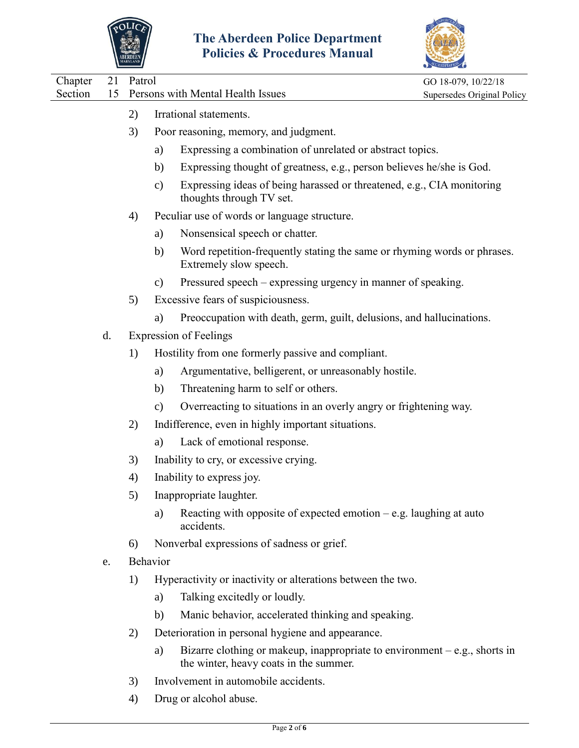



| Chapter | 21 | Patrol          |                                                    | GO 18-079, 10/22/18                                                         |
|---------|----|-----------------|----------------------------------------------------|-----------------------------------------------------------------------------|
| Section | 15 |                 | Persons with Mental Health Issues                  | Supersedes Original Policy                                                  |
|         |    | 2)              | Irrational statements.                             |                                                                             |
|         |    | 3)              | Poor reasoning, memory, and judgment.              |                                                                             |
|         |    |                 | a)                                                 | Expressing a combination of unrelated or abstract topics.                   |
|         |    |                 | b)                                                 | Expressing thought of greatness, e.g., person believes he/she is God.       |
|         |    |                 | $\mathbf{c})$<br>thoughts through TV set.          | Expressing ideas of being harassed or threatened, e.g., CIA monitoring      |
|         |    | 4)              | Peculiar use of words or language structure.       |                                                                             |
|         |    |                 | Nonsensical speech or chatter.<br>a)               |                                                                             |
|         |    |                 | b)<br>Extremely slow speech.                       | Word repetition-frequently stating the same or rhyming words or phrases.    |
|         |    |                 | $\mathbf{c})$                                      | Pressured speech – expressing urgency in manner of speaking.                |
|         |    | 5)              | Excessive fears of suspiciousness.                 |                                                                             |
|         |    |                 | a)                                                 | Preoccupation with death, germ, guilt, delusions, and hallucinations.       |
|         | d. |                 | <b>Expression of Feelings</b>                      |                                                                             |
|         |    | 1)              | Hostility from one formerly passive and compliant. |                                                                             |
|         |    |                 | a)                                                 | Argumentative, belligerent, or unreasonably hostile.                        |
|         |    |                 | Threatening harm to self or others.<br>b)          |                                                                             |
|         |    |                 | $\mathbf{c})$                                      | Overreacting to situations in an overly angry or frightening way.           |
|         |    | 2)              | Indifference, even in highly important situations. |                                                                             |
|         |    |                 | Lack of emotional response.<br>a)                  |                                                                             |
|         |    | 3)              | Inability to cry, or excessive crying.             |                                                                             |
|         |    | 4)              | Inability to express joy.                          |                                                                             |
|         |    | 5)              | Inappropriate laughter.                            |                                                                             |
|         |    |                 | a)<br>accidents.                                   | Reacting with opposite of expected emotion $-e.g.$ laughing at auto         |
|         |    | 6)              | Nonverbal expressions of sadness or grief.         |                                                                             |
|         | e. | <b>Behavior</b> |                                                    |                                                                             |
|         |    | 1)              |                                                    | Hyperactivity or inactivity or alterations between the two.                 |
|         |    |                 | Talking excitedly or loudly.<br>a)                 |                                                                             |
|         |    |                 | b)                                                 | Manic behavior, accelerated thinking and speaking.                          |
|         |    | 2)              | Deterioration in personal hygiene and appearance.  |                                                                             |
|         |    |                 | a)<br>the winter, heavy coats in the summer.       | Bizarre clothing or makeup, inappropriate to environment $-e.g.,$ shorts in |
|         |    |                 |                                                    |                                                                             |

- 3) Involvement in automobile accidents.
- 4) Drug or alcohol abuse.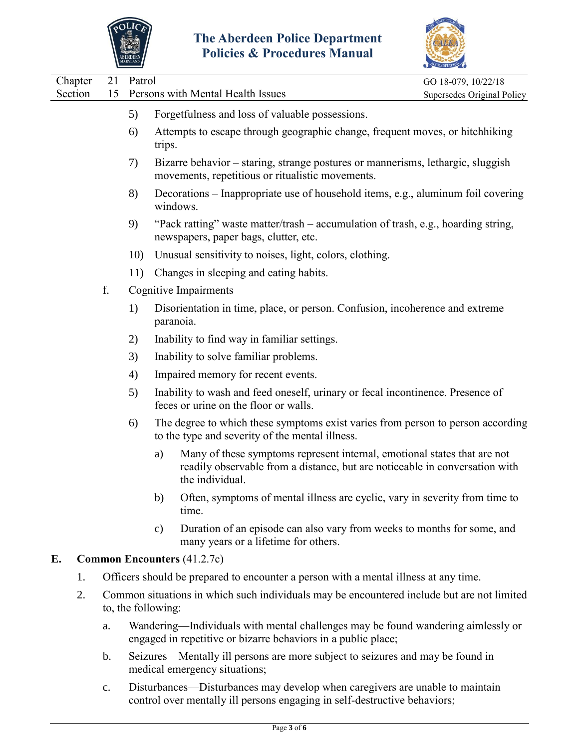



| Chapter |    | 21 | Patrol |                                                                                                                                                                                  | GO 18-079, 10/22/18        |
|---------|----|----|--------|----------------------------------------------------------------------------------------------------------------------------------------------------------------------------------|----------------------------|
| Section |    | 15 |        | Persons with Mental Health Issues                                                                                                                                                | Supersedes Original Policy |
|         |    |    | 5)     | Forgetfulness and loss of valuable possessions.                                                                                                                                  |                            |
|         |    |    | 6)     | Attempts to escape through geographic change, frequent moves, or hitch hiking<br>trips.                                                                                          |                            |
|         |    |    | 7)     | Bizarre behavior – staring, strange postures or mannerisms, lethargic, sluggish<br>movements, repetitious or ritualistic movements.                                              |                            |
|         |    |    | 8)     | Decorations – Inappropriate use of household items, e.g., aluminum foil covering<br>windows.                                                                                     |                            |
|         |    |    | 9)     | "Pack ratting" waste matter/trash – accumulation of trash, e.g., hoarding string,<br>newspapers, paper bags, clutter, etc.                                                       |                            |
|         |    |    | 10)    | Unusual sensitivity to noises, light, colors, clothing.                                                                                                                          |                            |
|         |    |    | 11)    | Changes in sleeping and eating habits.                                                                                                                                           |                            |
|         |    | f. |        | <b>Cognitive Impairments</b>                                                                                                                                                     |                            |
|         |    |    | 1)     | Disorientation in time, place, or person. Confusion, incoherence and extreme<br>paranoia.                                                                                        |                            |
|         |    |    | 2)     | Inability to find way in familiar settings.                                                                                                                                      |                            |
|         |    |    | 3)     | Inability to solve familiar problems.                                                                                                                                            |                            |
|         |    |    | 4)     | Impaired memory for recent events.                                                                                                                                               |                            |
|         |    |    | 5)     | Inability to wash and feed oneself, urinary or fecal incontinence. Presence of<br>feces or urine on the floor or walls.                                                          |                            |
|         |    |    | 6)     | The degree to which these symptoms exist varies from person to person according<br>to the type and severity of the mental illness.                                               |                            |
|         |    |    |        | Many of these symptoms represent internal, emotional states that are not<br>a)<br>readily observable from a distance, but are noticeable in conversation with<br>the individual. |                            |
|         |    |    |        | Often, symptoms of mental illness are cyclic, vary in severity from time to<br>b)<br>time.                                                                                       |                            |
|         |    |    |        | Duration of an episode can also vary from weeks to months for some, and<br>$\mathbf{c})$<br>many years or a lifetime for others.                                                 |                            |
| E.      |    |    |        | <b>Common Encounters (41.2.7c)</b>                                                                                                                                               |                            |
|         | 1. |    |        | Officers should be prepared to encounter a person with a mental illness at any time.                                                                                             |                            |
|         | 2. |    |        | Common situations in which such individuals may be encountered include but are not limited<br>to, the following:                                                                 |                            |
|         |    | a. |        | Wandering—Individuals with mental challenges may be found wandering aimlessly or<br>engaged in repetitive or bizarre behaviors in a public place;                                |                            |
|         |    | h  |        | Seizures—Mentally ill persons are more subject to seizures and may be found in                                                                                                   |                            |

- b. Seizures—Mentally ill persons are more subject to seizures and may be found in medical emergency situations;
- c. Disturbances—Disturbances may develop when caregivers are unable to maintain control over mentally ill persons engaging in self-destructive behaviors;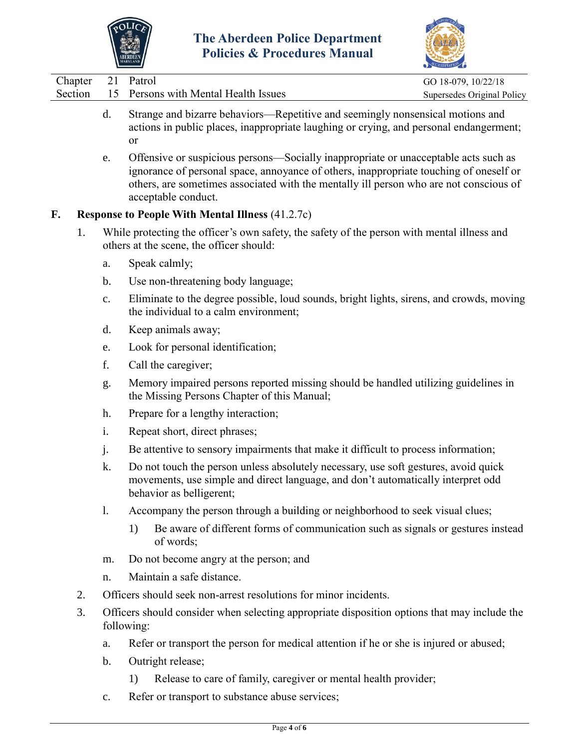



| Chapter | 21             | Patrol                                                                                                                                                                                                                                                                                         | GO 18-079, 10/22/18        |
|---------|----------------|------------------------------------------------------------------------------------------------------------------------------------------------------------------------------------------------------------------------------------------------------------------------------------------------|----------------------------|
| Section | 15             | Persons with Mental Health Issues                                                                                                                                                                                                                                                              | Supersedes Original Policy |
|         | d.             | Strange and bizarre behaviors—Repetitive and seemingly nonsensical motions and<br>actions in public places, inappropriate laughing or crying, and personal endangerment;<br><sub>or</sub>                                                                                                      |                            |
|         | e.             | Offensive or suspicious persons-Socially inappropriate or unacceptable acts such as<br>ignorance of personal space, annoyance of others, inappropriate touching of oneself or<br>others, are sometimes associated with the mentally ill person who are not conscious of<br>acceptable conduct. |                            |
| F.      |                | <b>Response to People With Mental Illness (41.2.7c)</b>                                                                                                                                                                                                                                        |                            |
| 1.      |                | While protecting the officer's own safety, the safety of the person with mental illness and<br>others at the scene, the officer should:                                                                                                                                                        |                            |
|         | a.             | Speak calmly;                                                                                                                                                                                                                                                                                  |                            |
|         | b.             | Use non-threatening body language;                                                                                                                                                                                                                                                             |                            |
|         | $\mathbf{c}$ . | Eliminate to the degree possible, loud sounds, bright lights, sirens, and crowds, moving<br>the individual to a calm environment;                                                                                                                                                              |                            |
|         | d.             | Keep animals away;                                                                                                                                                                                                                                                                             |                            |
|         | e.             | Look for personal identification;                                                                                                                                                                                                                                                              |                            |
|         | f.             | Call the caregiver;                                                                                                                                                                                                                                                                            |                            |
|         | g.             | Memory impaired persons reported missing should be handled utilizing guidelines in<br>the Missing Persons Chapter of this Manual;                                                                                                                                                              |                            |
|         | h.             | Prepare for a lengthy interaction;                                                                                                                                                                                                                                                             |                            |
|         | i.             | Repeat short, direct phrases;                                                                                                                                                                                                                                                                  |                            |
|         | j.             | Be attentive to sensory impairments that make it difficult to process information;                                                                                                                                                                                                             |                            |
|         | k.             | Do not touch the person unless absolutely necessary, use soft gestures, avoid quick<br>movements, use simple and direct language, and don't automatically interpret odd<br>behavior as belligerent;                                                                                            |                            |
|         | 1.             | Accompany the person through a building or neighborhood to seek visual clues;                                                                                                                                                                                                                  |                            |
|         |                | Be aware of different forms of communication such as signals or gestures instead<br>1)<br>of words;                                                                                                                                                                                            |                            |
|         | m.             | Do not become angry at the person; and                                                                                                                                                                                                                                                         |                            |
|         | n.             | Maintain a safe distance.                                                                                                                                                                                                                                                                      |                            |
| 2.      |                | Officers should seek non-arrest resolutions for minor incidents.                                                                                                                                                                                                                               |                            |
| 3.      |                | Officers should consider when selecting appropriate disposition options that may include the<br>following:                                                                                                                                                                                     |                            |
|         | a.             | Refer or transport the person for medical attention if he or she is injured or abused;                                                                                                                                                                                                         |                            |
|         | b.             | Outright release;                                                                                                                                                                                                                                                                              |                            |
|         |                | Release to care of family, caregiver or mental health provider;<br>1)                                                                                                                                                                                                                          |                            |

c. Refer or transport to substance abuse services;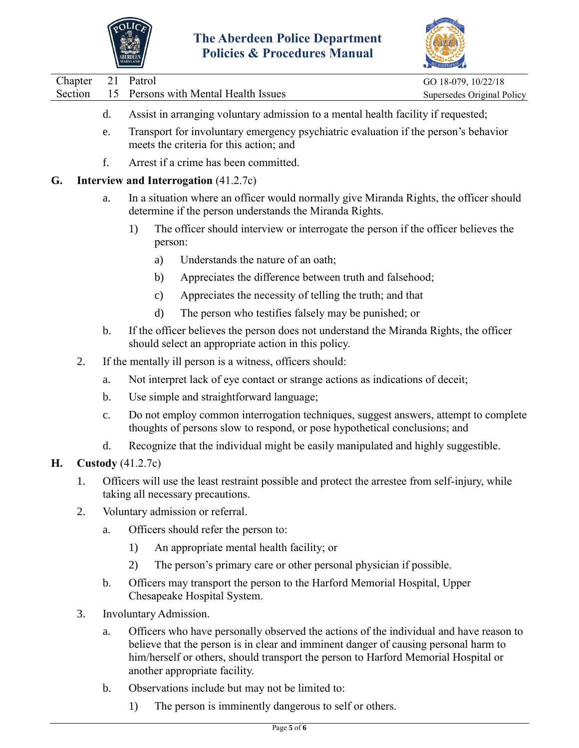



|                   |                                      | $\sum_{i=1}^{n}$           |
|-------------------|--------------------------------------|----------------------------|
| Chapter 21 Patrol |                                      | GO 18-079, 10/22/18        |
| Section           | 15 Persons with Mental Health Issues | Supersedes Original Policy |
|                   |                                      |                            |

- d. Assist in arranging voluntary admission to a mental health facility if requested;
- e. Transport for involuntary emergency psychiatric evaluation if the person's behavior meets the criteria for this action; and
- f. Arrest if a crime has been committed.

### **G. Interview and Interrogation** (41.2.7c)

- a. In a situation where an officer would normally give Miranda Rights, the officer should determine if the person understands the Miranda Rights.
	- 1) The officer should interview or interrogate the person if the officer believes the person:
		- a) Understands the nature of an oath;
		- b) Appreciates the difference between truth and falsehood;
		- c) Appreciates the necessity of telling the truth; and that
		- d) The person who testifies falsely may be punished; or
- b. If the officer believes the person does not understand the Miranda Rights, the officer should select an appropriate action in this policy.
- 2. If the mentally ill person is a witness, officers should:
	- a. Not interpret lack of eye contact or strange actions as indications of deceit;
	- b. Use simple and straightforward language;
	- c. Do not employ common interrogation techniques, suggest answers, attempt to complete thoughts of persons slow to respond, or pose hypothetical conclusions; and
	- d. Recognize that the individual might be easily manipulated and highly suggestible.

## **H. Custody** (41.2.7c)

- 1. Officers will use the least restraint possible and protect the arrestee from self-injury, while taking all necessary precautions.
- 2. Voluntary admission or referral.
	- a. Officers should refer the person to:
		- 1) An appropriate mental health facility; or
		- 2) The person's primary care or other personal physician if possible.
	- b. Officers may transport the person to the Harford Memorial Hospital, Upper Chesapeake Hospital System.
- 3. Involuntary Admission.
	- a. Officers who have personally observed the actions of the individual and have reason to believe that the person is in clear and imminent danger of causing personal harm to him/herself or others, should transport the person to Harford Memorial Hospital or another appropriate facility.
	- b. Observations include but may not be limited to:
		- 1) The person is imminently dangerous to self or others.